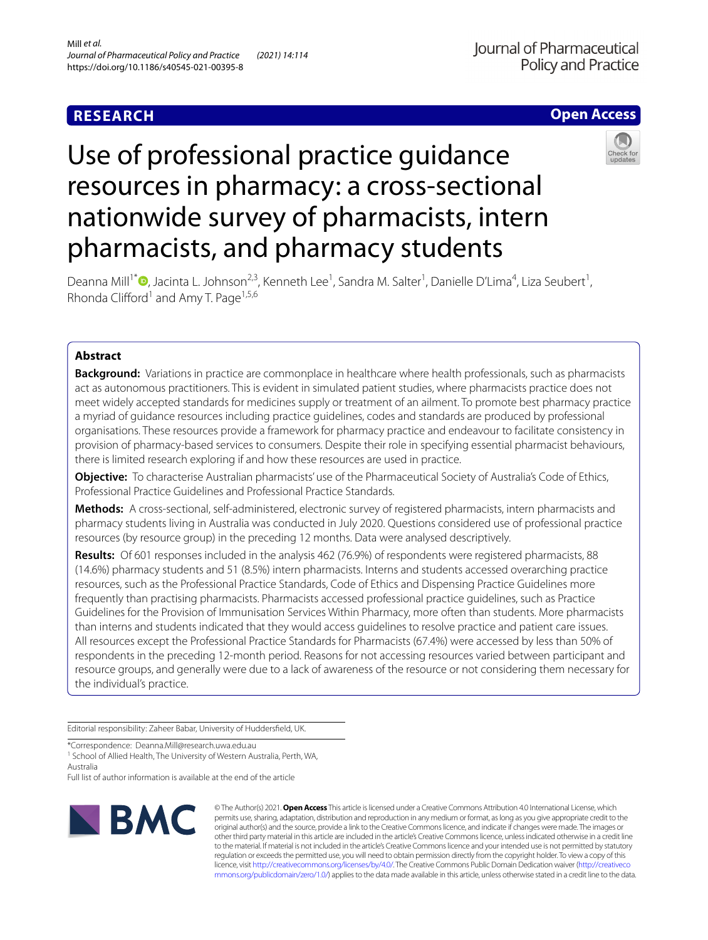# **RESEARCH**

## **Open Access**

# Use of professional practice guidance resources in pharmacy: a cross-sectional nationwide survey of pharmacists, intern pharmacists, and pharmacy students



Deanna Mill<sup>1\*</sup><sup>®</sup>[,](http://orcid.org/0000-0002-4151-8864) Jacinta L. Johnson<sup>2,3</sup>, Kenneth Lee<sup>1</sup>, Sandra M. Salter<sup>1</sup>, Danielle D'Lima<sup>4</sup>, Liza Seubert<sup>1</sup>, Rhonda Clifford<sup>1</sup> and Amy T. Page<sup>1,5,6</sup>

## **Abstract**

**Background:** Variations in practice are commonplace in healthcare where health professionals, such as pharmacists act as autonomous practitioners. This is evident in simulated patient studies, where pharmacists practice does not meet widely accepted standards for medicines supply or treatment of an ailment. To promote best pharmacy practice a myriad of guidance resources including practice guidelines, codes and standards are produced by professional organisations. These resources provide a framework for pharmacy practice and endeavour to facilitate consistency in provision of pharmacy-based services to consumers. Despite their role in specifying essential pharmacist behaviours, there is limited research exploring if and how these resources are used in practice.

**Objective:** To characterise Australian pharmacists' use of the Pharmaceutical Society of Australia's Code of Ethics, Professional Practice Guidelines and Professional Practice Standards.

**Methods:** A cross-sectional, self-administered, electronic survey of registered pharmacists, intern pharmacists and pharmacy students living in Australia was conducted in July 2020. Questions considered use of professional practice resources (by resource group) in the preceding 12 months. Data were analysed descriptively.

**Results:** Of 601 responses included in the analysis 462 (76.9%) of respondents were registered pharmacists, 88 (14.6%) pharmacy students and 51 (8.5%) intern pharmacists. Interns and students accessed overarching practice resources, such as the Professional Practice Standards, Code of Ethics and Dispensing Practice Guidelines more frequently than practising pharmacists. Pharmacists accessed professional practice guidelines, such as Practice Guidelines for the Provision of Immunisation Services Within Pharmacy, more often than students. More pharmacists than interns and students indicated that they would access guidelines to resolve practice and patient care issues. All resources except the Professional Practice Standards for Pharmacists (67.4%) were accessed by less than 50% of respondents in the preceding 12-month period. Reasons for not accessing resources varied between participant and resource groups, and generally were due to a lack of awareness of the resource or not considering them necessary for the individual's practice.

Editorial responsibility: Zaheer Babar, University of Huddersfeld, UK.

\*Correspondence: Deanna.Mill@research.uwa.edu.au

<sup>1</sup> School of Allied Health, The University of Western Australia, Perth, WA, Australia

Full list of author information is available at the end of the article



© The Author(s) 2021. **Open Access** This article is licensed under a Creative Commons Attribution 4.0 International License, which permits use, sharing, adaptation, distribution and reproduction in any medium or format, as long as you give appropriate credit to the original author(s) and the source, provide a link to the Creative Commons licence, and indicate if changes were made. The images or other third party material in this article are included in the article's Creative Commons licence, unless indicated otherwise in a credit line to the material. If material is not included in the article's Creative Commons licence and your intended use is not permitted by statutory regulation or exceeds the permitted use, you will need to obtain permission directly from the copyright holder. To view a copy of this licence, visit [http://creativecommons.org/licenses/by/4.0/.](http://creativecommons.org/licenses/by/4.0/) The Creative Commons Public Domain Dedication waiver ([http://creativeco](http://creativecommons.org/publicdomain/zero/1.0/) [mmons.org/publicdomain/zero/1.0/](http://creativecommons.org/publicdomain/zero/1.0/)) applies to the data made available in this article, unless otherwise stated in a credit line to the data.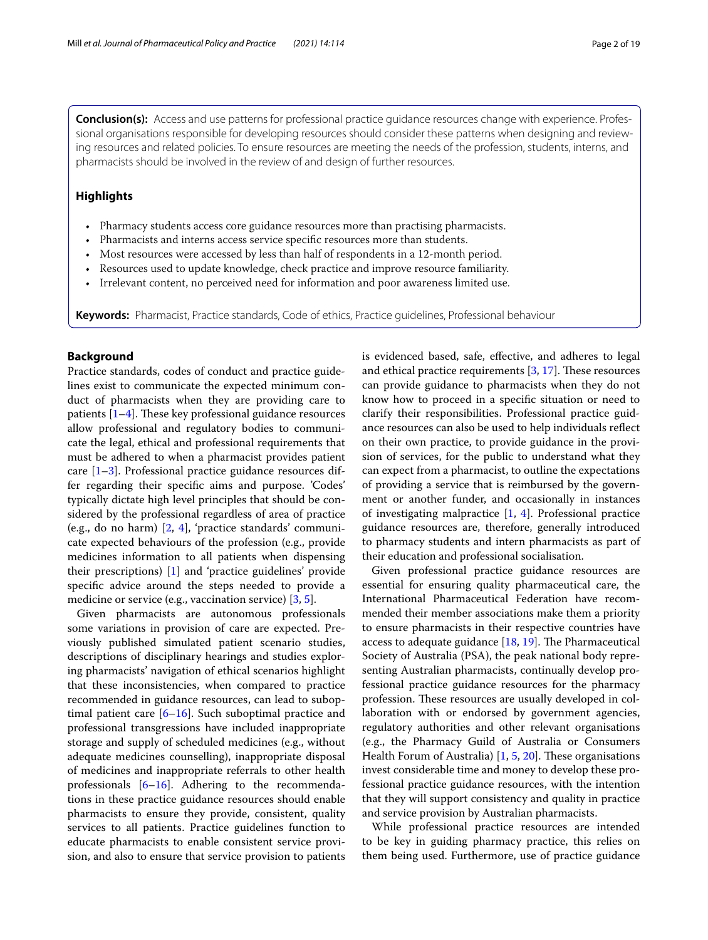**Conclusion(s):** Access and use patterns for professional practice guidance resources change with experience. Professional organisations responsible for developing resources should consider these patterns when designing and reviewing resources and related policies. To ensure resources are meeting the needs of the profession, students, interns, and pharmacists should be involved in the review of and design of further resources.

## **Highlights**

- Pharmacy students access core guidance resources more than practising pharmacists.
- Pharmacists and interns access service specifc resources more than students.
- Most resources were accessed by less than half of respondents in a 12-month period.
- Resources used to update knowledge, check practice and improve resource familiarity.
- Irrelevant content, no perceived need for information and poor awareness limited use.

**Keywords:** Pharmacist, Practice standards, Code of ethics, Practice guidelines, Professional behaviour

## **Background**

Practice standards, codes of conduct and practice guidelines exist to communicate the expected minimum conduct of pharmacists when they are providing care to patients  $[1-4]$  $[1-4]$ . These key professional guidance resources allow professional and regulatory bodies to communicate the legal, ethical and professional requirements that must be adhered to when a pharmacist provides patient care [\[1](#page-17-0)[–3](#page-17-2)]. Professional practice guidance resources differ regarding their specifc aims and purpose. 'Codes' typically dictate high level principles that should be considered by the professional regardless of area of practice (e.g., do no harm)  $[2, 4]$  $[2, 4]$  $[2, 4]$  $[2, 4]$  $[2, 4]$ , 'practice standards' communicate expected behaviours of the profession (e.g., provide medicines information to all patients when dispensing their prescriptions) [[1\]](#page-17-0) and 'practice guidelines' provide specifc advice around the steps needed to provide a medicine or service (e.g., vaccination service) [[3](#page-17-2), [5\]](#page-17-4).

Given pharmacists are autonomous professionals some variations in provision of care are expected. Previously published simulated patient scenario studies, descriptions of disciplinary hearings and studies exploring pharmacists' navigation of ethical scenarios highlight that these inconsistencies, when compared to practice recommended in guidance resources, can lead to suboptimal patient care  $[6–16]$  $[6–16]$  $[6–16]$ . Such suboptimal practice and professional transgressions have included inappropriate storage and supply of scheduled medicines (e.g., without adequate medicines counselling), inappropriate disposal of medicines and inappropriate referrals to other health professionals [[6–](#page-17-5)[16\]](#page-17-6). Adhering to the recommendations in these practice guidance resources should enable pharmacists to ensure they provide, consistent, quality services to all patients. Practice guidelines function to educate pharmacists to enable consistent service provision, and also to ensure that service provision to patients is evidenced based, safe, efective, and adheres to legal and ethical practice requirements  $[3, 17]$  $[3, 17]$  $[3, 17]$ . These resources can provide guidance to pharmacists when they do not know how to proceed in a specifc situation or need to clarify their responsibilities. Professional practice guidance resources can also be used to help individuals refect on their own practice, to provide guidance in the provision of services, for the public to understand what they can expect from a pharmacist, to outline the expectations of providing a service that is reimbursed by the government or another funder, and occasionally in instances of investigating malpractice [\[1](#page-17-0), [4](#page-17-1)]. Professional practice guidance resources are, therefore, generally introduced to pharmacy students and intern pharmacists as part of their education and professional socialisation.

Given professional practice guidance resources are essential for ensuring quality pharmaceutical care, the International Pharmaceutical Federation have recommended their member associations make them a priority to ensure pharmacists in their respective countries have access to adequate guidance  $[18, 19]$  $[18, 19]$  $[18, 19]$  $[18, 19]$ . The Pharmaceutical Society of Australia (PSA), the peak national body representing Australian pharmacists, continually develop professional practice guidance resources for the pharmacy profession. These resources are usually developed in collaboration with or endorsed by government agencies, regulatory authorities and other relevant organisations (e.g., the Pharmacy Guild of Australia or Consumers Health Forum of Australia)  $[1, 5, 20]$  $[1, 5, 20]$  $[1, 5, 20]$  $[1, 5, 20]$  $[1, 5, 20]$  $[1, 5, 20]$ . These organisations invest considerable time and money to develop these professional practice guidance resources, with the intention that they will support consistency and quality in practice and service provision by Australian pharmacists.

While professional practice resources are intended to be key in guiding pharmacy practice, this relies on them being used. Furthermore, use of practice guidance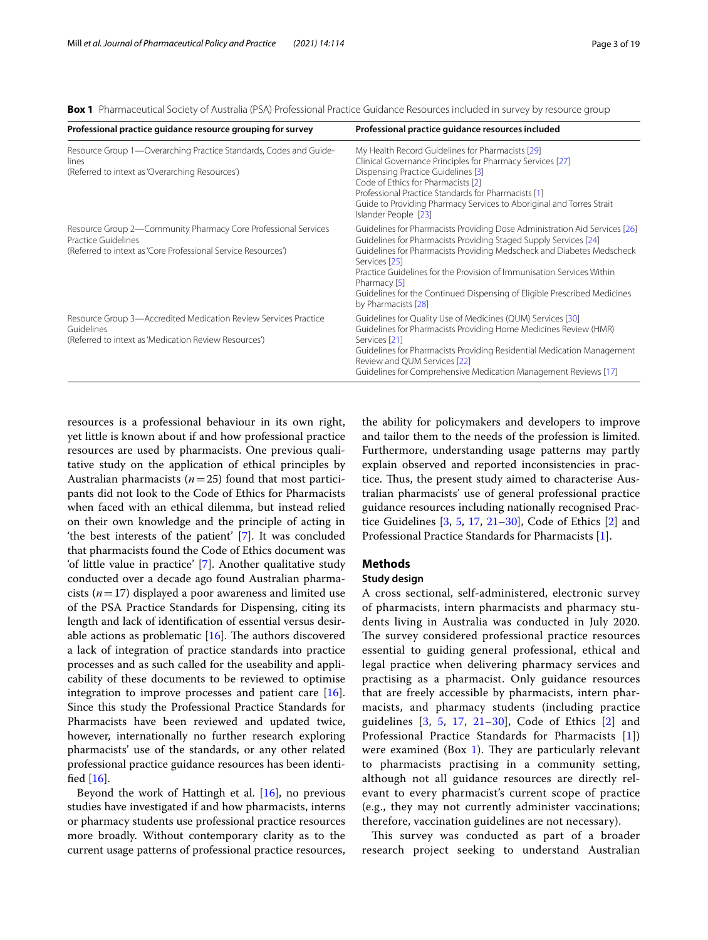<span id="page-2-0"></span>**Box 1** Pharmaceutical Society of Australia (PSA) Professional Practice Guidance Resources included in survey by resource group

| Professional practice guidance resource grouping for survey                                                                                            | Professional practice guidance resources included                                                                                                                                                                                                                                                                                                                                                                                    |
|--------------------------------------------------------------------------------------------------------------------------------------------------------|--------------------------------------------------------------------------------------------------------------------------------------------------------------------------------------------------------------------------------------------------------------------------------------------------------------------------------------------------------------------------------------------------------------------------------------|
| Resource Group 1—Overarching Practice Standards, Codes and Guide-<br>lines<br>(Referred to intext as 'Overarching Resources')                          | My Health Record Guidelines for Pharmacists [29]<br>Clinical Governance Principles for Pharmacy Services [27]<br>Dispensing Practice Guidelines [3]<br>Code of Ethics for Pharmacists [2]<br>Professional Practice Standards for Pharmacists [1]<br>Guide to Providing Pharmacy Services to Aboriginal and Torres Strait<br>Islander People [23]                                                                                     |
| Resource Group 2—Community Pharmacy Core Professional Services<br>Practice Guidelines<br>(Referred to intext as 'Core Professional Service Resources') | Guidelines for Pharmacists Providing Dose Administration Aid Services [26]<br>Guidelines for Pharmacists Providing Staged Supply Services [24]<br>Guidelines for Pharmacists Providing Medscheck and Diabetes Medscheck<br>Services [25]<br>Practice Guidelines for the Provision of Immunisation Services Within<br>Pharmacy [5]<br>Guidelines for the Continued Dispensing of Eligible Prescribed Medicines<br>by Pharmacists [28] |
| Resource Group 3-Accredited Medication Review Services Practice<br>Guidelines<br>(Referred to intext as 'Medication Review Resources')                 | Guidelines for Quality Use of Medicines (QUM) Services [30]<br>Guidelines for Pharmacists Providing Home Medicines Review (HMR)<br>Services [21]<br>Guidelines for Pharmacists Providing Residential Medication Management<br>Review and QUM Services [22]<br>Guidelines for Comprehensive Medication Management Reviews [17]                                                                                                        |

resources is a professional behaviour in its own right, yet little is known about if and how professional practice resources are used by pharmacists. One previous qualitative study on the application of ethical principles by Australian pharmacists (*n*=25) found that most participants did not look to the Code of Ethics for Pharmacists when faced with an ethical dilemma, but instead relied on their own knowledge and the principle of acting in 'the best interests of the patient' [[7](#page-17-11)]. It was concluded that pharmacists found the Code of Ethics document was 'of little value in practice' [\[7](#page-17-11)]. Another qualitative study conducted over a decade ago found Australian pharmacists (*n*=17) displayed a poor awareness and limited use of the PSA Practice Standards for Dispensing, citing its length and lack of identifcation of essential versus desirable actions as problematic  $[16]$  $[16]$ . The authors discovered a lack of integration of practice standards into practice processes and as such called for the useability and applicability of these documents to be reviewed to optimise integration to improve processes and patient care [\[16](#page-17-6)]. Since this study the Professional Practice Standards for Pharmacists have been reviewed and updated twice, however, internationally no further research exploring pharmacists' use of the standards, or any other related professional practice guidance resources has been identifed [\[16](#page-17-6)].

Beyond the work of Hattingh et al. [[16\]](#page-17-6), no previous studies have investigated if and how pharmacists, interns or pharmacy students use professional practice resources more broadly. Without contemporary clarity as to the current usage patterns of professional practice resources, the ability for policymakers and developers to improve and tailor them to the needs of the profession is limited. Furthermore, understanding usage patterns may partly explain observed and reported inconsistencies in practice. Thus, the present study aimed to characterise Australian pharmacists' use of general professional practice guidance resources including nationally recognised Practice Guidelines [\[3](#page-17-2), [5,](#page-17-4) [17,](#page-17-7) [21](#page-17-12)[–30](#page-18-0)], Code of Ethics [[2\]](#page-17-3) and Professional Practice Standards for Pharmacists [[1\]](#page-17-0).

## **Methods**

## <span id="page-2-1"></span>**Study design**

A cross sectional, self-administered, electronic survey of pharmacists, intern pharmacists and pharmacy students living in Australia was conducted in July 2020. The survey considered professional practice resources essential to guiding general professional, ethical and legal practice when delivering pharmacy services and practising as a pharmacist. Only guidance resources that are freely accessible by pharmacists, intern pharmacists, and pharmacy students (including practice guidelines [[3,](#page-17-2) [5](#page-17-4), [17,](#page-17-7) [21](#page-17-12)[–30](#page-18-0)], Code of Ethics [[2\]](#page-17-3) and Professional Practice Standards for Pharmacists [[1](#page-17-0)]) were examined (Box [1\)](#page-2-0). They are particularly relevant to pharmacists practising in a community setting, although not all guidance resources are directly relevant to every pharmacist's current scope of practice (e.g., they may not currently administer vaccinations; therefore, vaccination guidelines are not necessary).

This survey was conducted as part of a broader research project seeking to understand Australian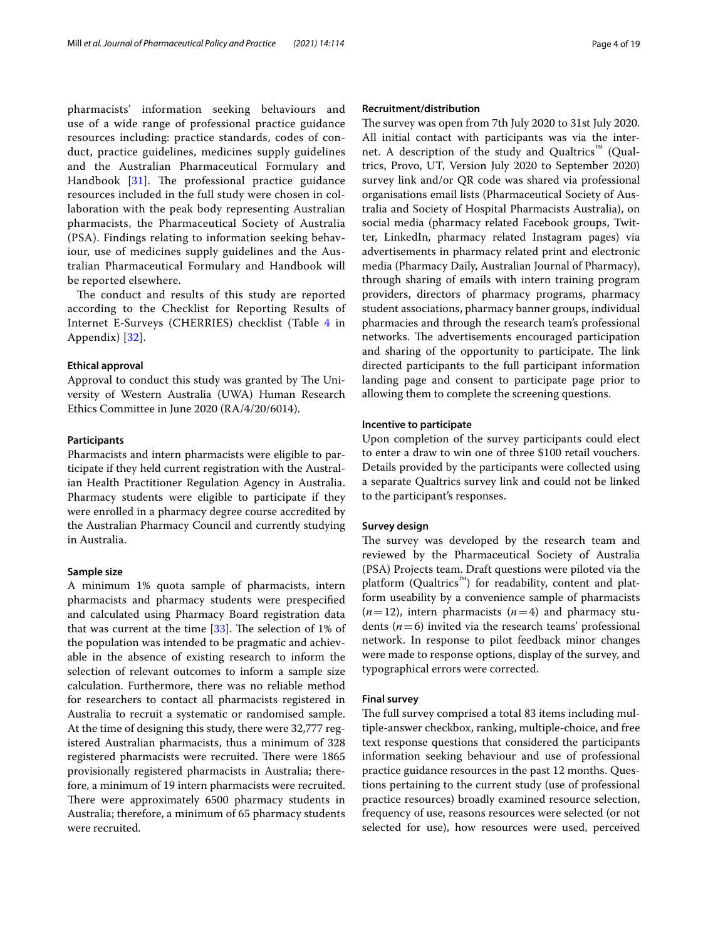pharmacists' information seeking behaviours and use of a wide range of professional practice guidance resources including: practice standards, codes of conduct, practice guidelines, medicines supply guidelines and the Australian Pharmaceutical Formulary and Handbook  $[31]$  $[31]$ . The professional practice guidance resources included in the full study were chosen in collaboration with the peak body representing Australian pharmacists, the Pharmaceutical Society of Australia (PSA). Findings relating to information seeking behaviour, use of medicines supply guidelines and the Australian Pharmaceutical Formulary and Handbook will be reported elsewhere.

The conduct and results of this study are reported according to the Checklist for Reporting Results of Internet E-Surveys (CHERRIES) checklist (Table [4](#page-14-0) in Appendix) [[32](#page-18-6)].

### <span id="page-3-0"></span>**Ethical approval**

Approval to conduct this study was granted by The University of Western Australia (UWA) Human Research Ethics Committee in June 2020 (RA/4/20/6014).

## <span id="page-3-3"></span>**Participants**

Pharmacists and intern pharmacists were eligible to participate if they held current registration with the Australian Health Practitioner Regulation Agency in Australia. Pharmacy students were eligible to participate if they were enrolled in a pharmacy degree course accredited by the Australian Pharmacy Council and currently studying in Australia.

## <span id="page-3-1"></span>**Sample size**

A minimum 1% quota sample of pharmacists, intern pharmacists and pharmacy students were prespecifed and calculated using Pharmacy Board registration data that was current at the time  $[33]$  $[33]$ . The selection of 1% of the population was intended to be pragmatic and achievable in the absence of existing research to inform the selection of relevant outcomes to inform a sample size calculation. Furthermore, there was no reliable method for researchers to contact all pharmacists registered in Australia to recruit a systematic or randomised sample. At the time of designing this study, there were 32,777 registered Australian pharmacists, thus a minimum of 328 registered pharmacists were recruited. There were 1865 provisionally registered pharmacists in Australia; therefore, a minimum of 19 intern pharmacists were recruited. There were approximately 6500 pharmacy students in Australia; therefore, a minimum of 65 pharmacy students were recruited.

## <span id="page-3-2"></span>**Recruitment/distribution**

The survey was open from 7th July 2020 to 31st July 2020. All initial contact with participants was via the internet. A description of the study and Qualtrics™ (Qualtrics, Provo, UT, Version July 2020 to September 2020) survey link and/or QR code was shared via professional organisations email lists (Pharmaceutical Society of Australia and Society of Hospital Pharmacists Australia), on social media (pharmacy related Facebook groups, Twitter, LinkedIn, pharmacy related Instagram pages) via advertisements in pharmacy related print and electronic media (Pharmacy Daily, Australian Journal of Pharmacy), through sharing of emails with intern training program providers, directors of pharmacy programs, pharmacy student associations, pharmacy banner groups, individual pharmacies and through the research team's professional networks. The advertisements encouraged participation and sharing of the opportunity to participate. The link directed participants to the full participant information landing page and consent to participate page prior to allowing them to complete the screening questions.

## <span id="page-3-5"></span>**Incentive to participate**

Upon completion of the survey participants could elect to enter a draw to win one of three \$100 retail vouchers. Details provided by the participants were collected using a separate Qualtrics survey link and could not be linked to the participant's responses.

## <span id="page-3-6"></span>**Survey design**

The survey was developed by the research team and reviewed by the Pharmaceutical Society of Australia (PSA) Projects team. Draft questions were piloted via the platform (Qualtrics<sup>™</sup>) for readability, content and platform useability by a convenience sample of pharmacists  $(n=12)$ , intern pharmacists  $(n=4)$  and pharmacy students  $(n=6)$  invited via the research teams' professional network. In response to pilot feedback minor changes were made to response options, display of the survey, and typographical errors were corrected.

## <span id="page-3-4"></span>**Final survey**

The full survey comprised a total 83 items including multiple-answer checkbox, ranking, multiple-choice, and free text response questions that considered the participants information seeking behaviour and use of professional practice guidance resources in the past 12 months. Questions pertaining to the current study (use of professional practice resources) broadly examined resource selection, frequency of use, reasons resources were selected (or not selected for use), how resources were used, perceived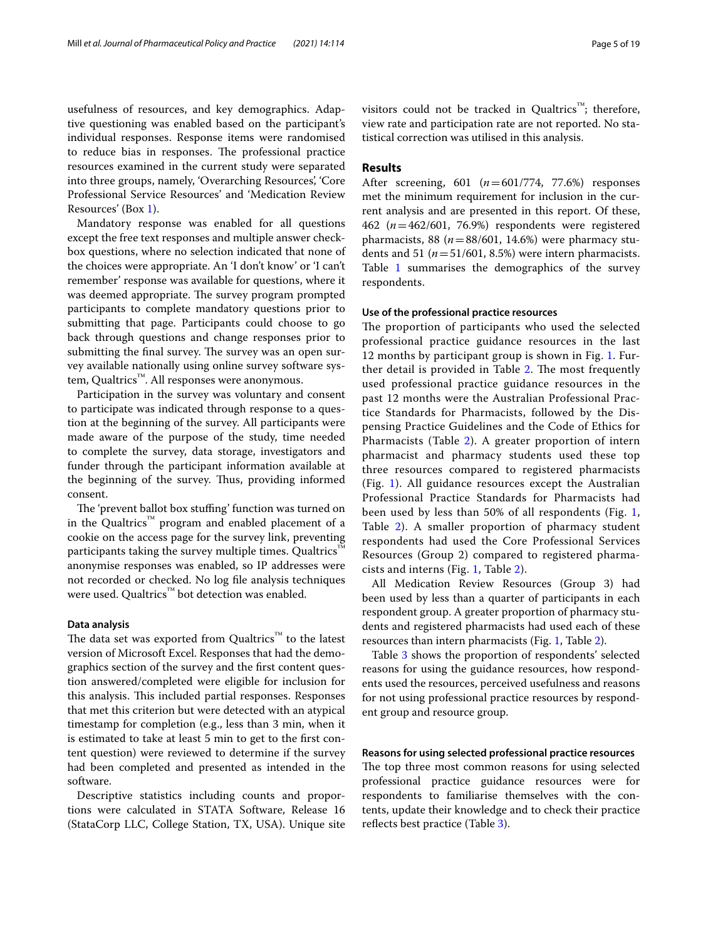usefulness of resources, and key demographics. Adaptive questioning was enabled based on the participant's individual responses. Response items were randomised to reduce bias in responses. The professional practice resources examined in the current study were separated into three groups, namely, 'Overarching Resources', 'Core Professional Service Resources' and 'Medication Review Resources' (Box [1\)](#page-2-0).

Mandatory response was enabled for all questions except the free text responses and multiple answer checkbox questions, where no selection indicated that none of the choices were appropriate. An 'I don't know' or 'I can't remember' response was available for questions, where it was deemed appropriate. The survey program prompted participants to complete mandatory questions prior to submitting that page. Participants could choose to go back through questions and change responses prior to submitting the final survey. The survey was an open survey available nationally using online survey software system, Qualtrics™. All responses were anonymous.

Participation in the survey was voluntary and consent to participate was indicated through response to a question at the beginning of the survey. All participants were made aware of the purpose of the study, time needed to complete the survey, data storage, investigators and funder through the participant information available at the beginning of the survey. Thus, providing informed consent.

The 'prevent ballot box stuffing' function was turned on in the Qualtrics™ program and enabled placement of a cookie on the access page for the survey link, preventing participants taking the survey multiple times. Qualtrics<sup>™</sup> anonymise responses was enabled, so IP addresses were not recorded or checked. No log fle analysis techniques were used. Qualtrics™ bot detection was enabled.

## <span id="page-4-0"></span>**Data analysis**

The data set was exported from Qualtrics™ to the latest version of Microsoft Excel. Responses that had the demographics section of the survey and the frst content question answered/completed were eligible for inclusion for this analysis. This included partial responses. Responses that met this criterion but were detected with an atypical timestamp for completion (e.g., less than 3 min, when it is estimated to take at least 5 min to get to the frst content question) were reviewed to determine if the survey had been completed and presented as intended in the software.

Descriptive statistics including counts and proportions were calculated in STATA Software, Release 16 (StataCorp LLC, College Station, TX, USA). Unique site visitors could not be tracked in Qualtrics™; therefore, view rate and participation rate are not reported. No statistical correction was utilised in this analysis.

## <span id="page-4-1"></span>**Results**

After screening, 601 (*n*=601/774, 77.6%) responses met the minimum requirement for inclusion in the current analysis and are presented in this report. Of these, 462 (*n*=462/601, 76.9%) respondents were registered pharmacists, 88 ( $n=88/601$ , 14.6%) were pharmacy students and 51 ( $n = 51/601$ , 8.5%) were intern pharmacists. Table [1](#page-5-0) summarises the demographics of the survey respondents.

## **Use of the professional practice resources**

The proportion of participants who used the selected professional practice guidance resources in the last 12 months by participant group is shown in Fig. [1.](#page-7-0) Fur-ther detail is provided in Table [2](#page-8-0). The most frequently used professional practice guidance resources in the past 12 months were the Australian Professional Practice Standards for Pharmacists, followed by the Dispensing Practice Guidelines and the Code of Ethics for Pharmacists (Table [2\)](#page-8-0). A greater proportion of intern pharmacist and pharmacy students used these top three resources compared to registered pharmacists (Fig. [1\)](#page-7-0). All guidance resources except the Australian Professional Practice Standards for Pharmacists had been used by less than 50% of all respondents (Fig. [1](#page-7-0), Table [2\)](#page-8-0). A smaller proportion of pharmacy student respondents had used the Core Professional Services Resources (Group 2) compared to registered pharmacists and interns (Fig. [1,](#page-7-0) Table [2\)](#page-8-0).

All Medication Review Resources (Group 3) had been used by less than a quarter of participants in each respondent group. A greater proportion of pharmacy students and registered pharmacists had used each of these resources than intern pharmacists (Fig. [1](#page-7-0), Table [2](#page-8-0)).

Table [3](#page-9-0) shows the proportion of respondents' selected reasons for using the guidance resources, how respondents used the resources, perceived usefulness and reasons for not using professional practice resources by respondent group and resource group.

## **Reasons for using selected professional practice resources**

The top three most common reasons for using selected professional practice guidance resources were for respondents to familiarise themselves with the contents, update their knowledge and to check their practice reflects best practice (Table [3\)](#page-9-0).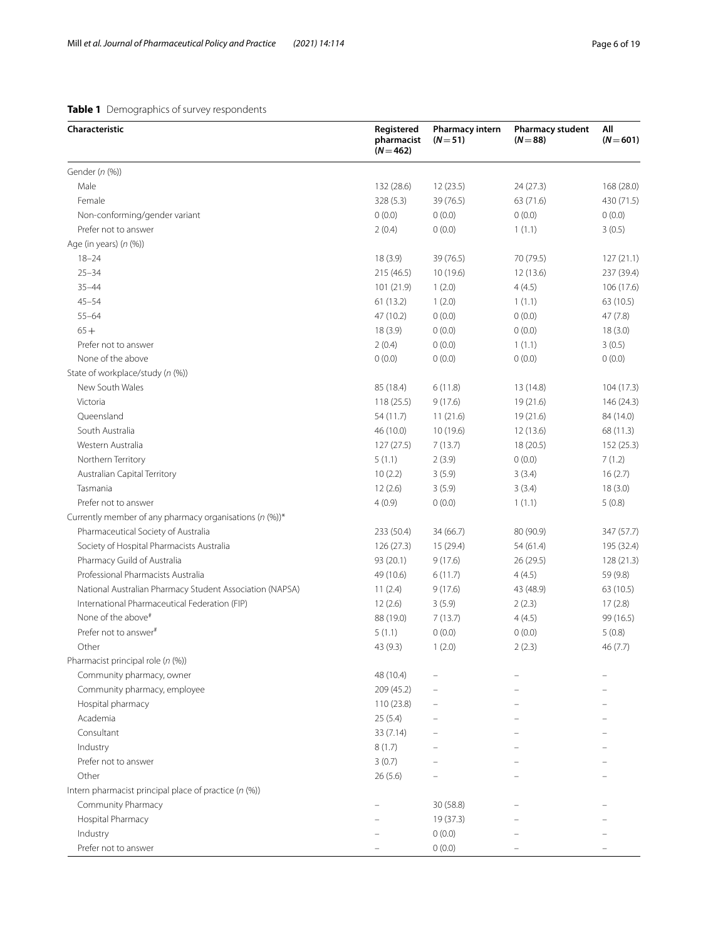## <span id="page-5-0"></span>**Table 1** Demographics of survey respondents

| Characteristic                                           | Registered<br>pharmacist<br>$(N = 462)$ | <b>Pharmacy intern</b><br>$(N=51)$ | Pharmacy student<br>$(N = 88)$ | All<br>$(N = 601)$ |
|----------------------------------------------------------|-----------------------------------------|------------------------------------|--------------------------------|--------------------|
| Gender (n (%))                                           |                                         |                                    |                                |                    |
| Male                                                     | 132 (28.6)                              | 12(23.5)                           | 24 (27.3)                      | 168 (28.0)         |
| Female                                                   | 328 (5.3)                               | 39 (76.5)                          | 63 (71.6)                      | 430 (71.5)         |
| Non-conforming/gender variant                            | 0(0.0)                                  | 0(0.0)                             | 0(0.0)                         | 0(0.0)             |
| Prefer not to answer                                     | 2(0.4)                                  | 0(0.0)                             | 1(1.1)                         | 3(0.5)             |
| Age (in years) $(n (%))$                                 |                                         |                                    |                                |                    |
| $18 - 24$                                                | 18(3.9)                                 | 39 (76.5)                          | 70 (79.5)                      | 127(21.1)          |
| $25 - 34$                                                | 215 (46.5)                              | 10 (19.6)                          | 12(13.6)                       | 237 (39.4)         |
| $35 - 44$                                                | 101 (21.9)                              | 1(2.0)                             | 4(4.5)                         | 106 (17.6)         |
| $45 - 54$                                                | 61 (13.2)                               | 1(2.0)                             | 1(1.1)                         | 63 (10.5)          |
| $55 - 64$                                                | 47 (10.2)                               | 0(0.0)                             | 0(0.0)                         | 47(7.8)            |
| $65+$                                                    | 18(3.9)                                 | 0(0.0)                             | 0(0.0)                         | 18(3.0)            |
| Prefer not to answer                                     | 2(0.4)                                  | 0(0.0)                             | 1(1.1)                         | 3(0.5)             |
| None of the above                                        | 0(0.0)                                  | 0(0.0)                             | 0(0.0)                         | 0(0.0)             |
| State of workplace/study (n (%))                         |                                         |                                    |                                |                    |
| New South Wales                                          | 85 (18.4)                               | 6(11.8)                            | 13 (14.8)                      | 104 (17.3)         |
| Victoria                                                 | 118 (25.5)                              | 9(17.6)                            | 19 (21.6)                      | 146 (24.3)         |
| Queensland                                               | 54 (11.7)                               | 11(21.6)                           | 19(21.6)                       | 84 (14.0)          |
| South Australia                                          | 46 (10.0)                               | 10(19.6)                           | 12(13.6)                       | 68 (11.3)          |
| Western Australia                                        | 127(27.5)                               | 7(13.7)                            | 18 (20.5)                      | 152 (25.3)         |
| Northern Territory                                       | 5(1.1)                                  | 2(3.9)                             | 0(0.0)                         | 7(1.2)             |
| Australian Capital Territory                             | 10(2.2)                                 | 3(5.9)                             | 3(3.4)                         | 16(2.7)            |
| Tasmania                                                 | 12(2.6)                                 | 3(5.9)                             | 3(3.4)                         | 18(3.0)            |
| Prefer not to answer                                     | 4(0.9)                                  | 0(0.0)                             | 1(1.1)                         | 5(0.8)             |
| Currently member of any pharmacy organisations (n (%))*  |                                         |                                    |                                |                    |
| Pharmaceutical Society of Australia                      | 233 (50.4)                              | 34 (66.7)                          | 80 (90.9)                      | 347 (57.7)         |
| Society of Hospital Pharmacists Australia                | 126(27.3)                               | 15(29.4)                           | 54 (61.4)                      | 195 (32.4)         |
| Pharmacy Guild of Australia                              | 93 (20.1)                               | 9(17.6)                            | 26(29.5)                       | 128 (21.3)         |
| Professional Pharmacists Australia                       | 49 (10.6)                               | 6(11.7)                            | 4(4.5)                         | 59 (9.8)           |
| National Australian Pharmacy Student Association (NAPSA) | 11(2.4)                                 | 9(17.6)                            | 43 (48.9)                      | 63 (10.5)          |
| International Pharmaceutical Federation (FIP)            | 12(2.6)                                 | 3(5.9)                             | 2(2.3)                         | 17(2.8)            |
| None of the above <sup>#</sup>                           | 88 (19.0)                               | 7(13.7)                            | 4(4.5)                         | 99 (16.5)          |
| Prefer not to answer <sup>#</sup>                        | 5(1.1)                                  | 0(0.0)                             | 0(0.0)                         | 5(0.8)             |
| Other                                                    | 43 (9.3)                                | 1(2.0)                             | 2(2.3)                         | 46 (7.7)           |
| Pharmacist principal role (n (%))                        |                                         |                                    |                                |                    |
| Community pharmacy, owner                                | 48 (10.4)                               |                                    |                                |                    |
| Community pharmacy, employee                             | 209 (45.2)                              |                                    |                                |                    |
| Hospital pharmacy                                        | 110(23.8)                               |                                    |                                |                    |
| Academia                                                 | 25(5.4)                                 |                                    |                                |                    |
| Consultant                                               | 33 (7.14)                               |                                    |                                |                    |
| Industry                                                 | 8(1.7)                                  |                                    |                                |                    |
| Prefer not to answer                                     | 3(0.7)                                  |                                    |                                |                    |
| Other                                                    | 26 (5.6)                                |                                    |                                |                    |
| Intern pharmacist principal place of practice (n (%))    |                                         |                                    |                                |                    |
| Community Pharmacy                                       |                                         | 30 (58.8)                          |                                |                    |
| Hospital Pharmacy                                        |                                         | 19 (37.3)                          |                                |                    |
| Industry                                                 |                                         | 0(0.0)                             |                                |                    |
| Prefer not to answer                                     |                                         | 0(0.0)                             |                                |                    |
|                                                          |                                         |                                    |                                |                    |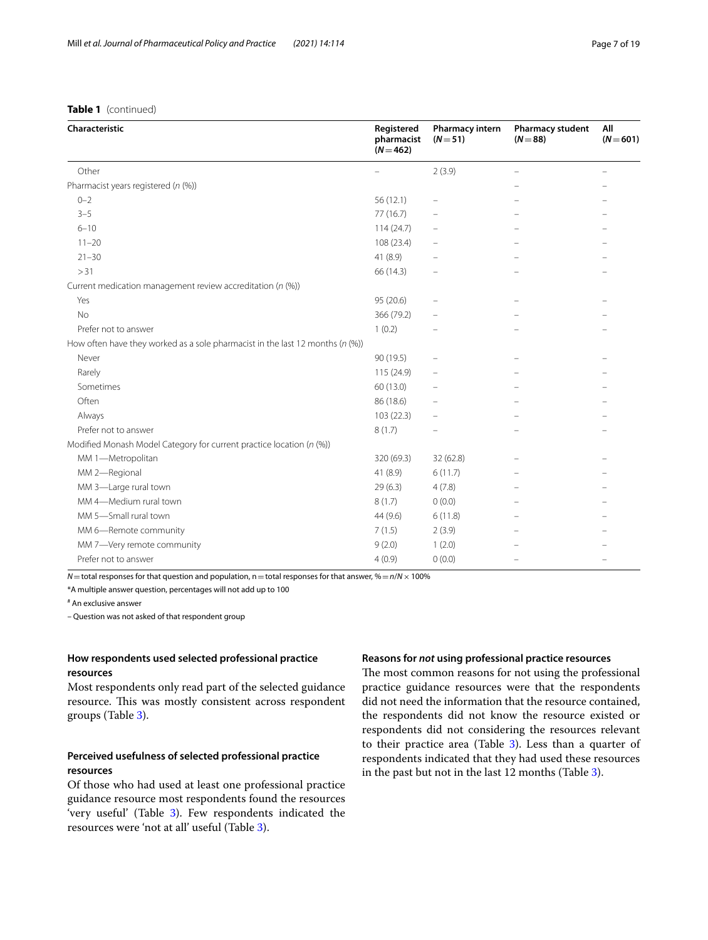## **Table 1** (continued)

| Characteristic                                                                   | Registered<br>pharmacist<br>$(N = 462)$ | Pharmacy intern<br>$(N=51)$ | <b>Pharmacy student</b><br>$(N = 88)$ | All<br>$(N = 601)$ |
|----------------------------------------------------------------------------------|-----------------------------------------|-----------------------------|---------------------------------------|--------------------|
| Other                                                                            |                                         | 2(3.9)                      |                                       |                    |
| Pharmacist years registered (n (%))                                              |                                         |                             |                                       |                    |
| $0 - 2$                                                                          | 56(12.1)                                | $\overline{\phantom{0}}$    |                                       |                    |
| $3 - 5$                                                                          | 77(16.7)                                |                             |                                       |                    |
| $6 - 10$                                                                         | 114(24.7)                               |                             |                                       |                    |
| $11 - 20$                                                                        | 108 (23.4)                              |                             |                                       |                    |
| $21 - 30$                                                                        | 41 (8.9)                                |                             |                                       |                    |
| > 31                                                                             | 66 (14.3)                               |                             |                                       |                    |
| Current medication management review accreditation (n (%))                       |                                         |                             |                                       |                    |
| Yes                                                                              | 95 (20.6)                               |                             |                                       |                    |
| <b>No</b>                                                                        | 366 (79.2)                              |                             |                                       |                    |
| Prefer not to answer                                                             | 1(0.2)                                  |                             |                                       |                    |
| How often have they worked as a sole pharmacist in the last 12 months ( $n$ (%)) |                                         |                             |                                       |                    |
| Never                                                                            | 90 (19.5)                               |                             |                                       |                    |
| Rarely                                                                           | 115 (24.9)                              | $\equiv$                    |                                       |                    |
| Sometimes                                                                        | 60 (13.0)                               |                             |                                       |                    |
| Often                                                                            | 86 (18.6)                               |                             |                                       |                    |
| Always                                                                           | 103 (22.3)                              | $\overline{\phantom{0}}$    |                                       |                    |
| Prefer not to answer                                                             | 8(1.7)                                  |                             |                                       |                    |
| Modified Monash Model Category for current practice location (n (%))             |                                         |                             |                                       |                    |
| MM 1-Metropolitan                                                                | 320 (69.3)                              | 32 (62.8)                   |                                       |                    |
| MM 2-Regional                                                                    | 41 (8.9)                                | 6(11.7)                     |                                       |                    |
| MM 3-Large rural town                                                            | 29(6.3)                                 | 4(7.8)                      |                                       |                    |
| MM 4-Medium rural town                                                           | 8(1.7)                                  | 0(0.0)                      |                                       |                    |
| MM 5-Small rural town                                                            | 44 (9.6)                                | 6(11.8)                     |                                       |                    |
| MM 6-Remote community                                                            | 7(1.5)                                  | 2(3.9)                      |                                       |                    |
| MM 7-Very remote community                                                       | 9(2.0)                                  | 1(2.0)                      |                                       |                    |
| Prefer not to answer                                                             | 4(0.9)                                  | 0(0.0)                      |                                       |                    |

*N*=total responses for that question and population, n=total responses for that answer, %= $n/N \times 100\%$ 

\*A multiple answer question, percentages will not add up to 100

# An exclusive answer

– Question was not asked of that respondent group

## **How respondents used selected professional practice resources**

Most respondents only read part of the selected guidance resource. This was mostly consistent across respondent groups (Table [3\)](#page-9-0).

## **Perceived usefulness of selected professional practice resources**

Of those who had used at least one professional practice guidance resource most respondents found the resources 'very useful' (Table [3\)](#page-9-0). Few respondents indicated the resources were 'not at all' useful (Table [3](#page-9-0)).

## **Reasons for** *not* **using professional practice resources**

The most common reasons for not using the professional practice guidance resources were that the respondents did not need the information that the resource contained, the respondents did not know the resource existed or respondents did not considering the resources relevant to their practice area (Table [3](#page-9-0)). Less than a quarter of respondents indicated that they had used these resources in the past but not in the last 12 months (Table [3\)](#page-9-0).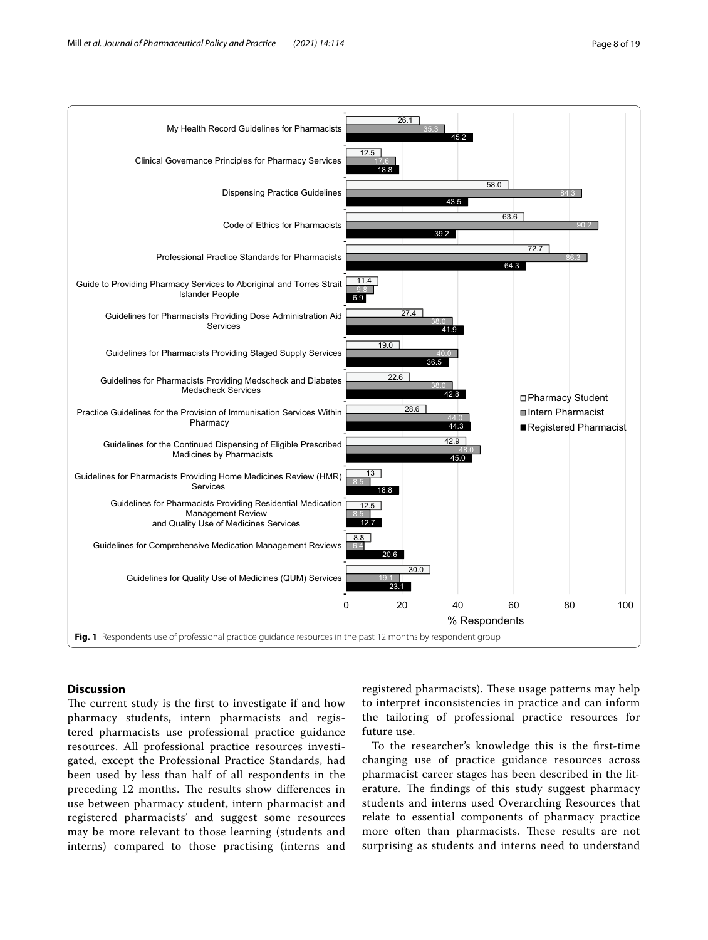

## <span id="page-7-0"></span>**Discussion**

The current study is the first to investigate if and how pharmacy students, intern pharmacists and registered pharmacists use professional practice guidance resources. All professional practice resources investigated, except the Professional Practice Standards, had been used by less than half of all respondents in the preceding 12 months. The results show differences in use between pharmacy student, intern pharmacist and registered pharmacists' and suggest some resources may be more relevant to those learning (students and interns) compared to those practising (interns and

registered pharmacists). These usage patterns may help to interpret inconsistencies in practice and can inform the tailoring of professional practice resources for future use.

To the researcher's knowledge this is the frst-time changing use of practice guidance resources across pharmacist career stages has been described in the literature. The findings of this study suggest pharmacy students and interns used Overarching Resources that relate to essential components of pharmacy practice more often than pharmacists. These results are not surprising as students and interns need to understand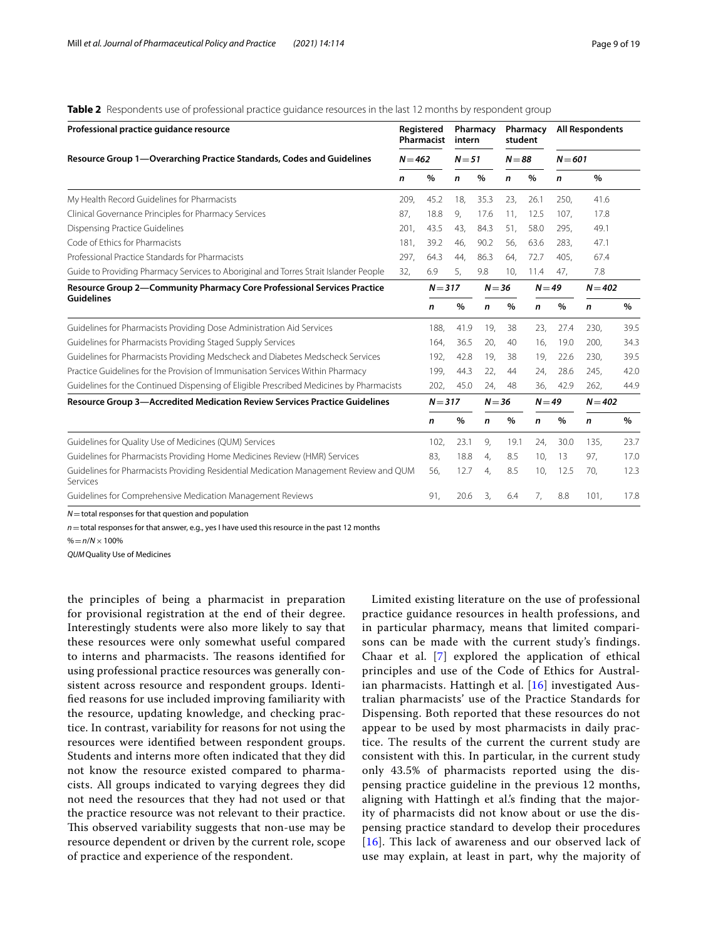| Professional practice guidance resource                                                           |           | Registered<br>Pharmacist | intern   | Pharmacy |          | Pharmacy<br>student |           | <b>All Respondents</b> |      |
|---------------------------------------------------------------------------------------------------|-----------|--------------------------|----------|----------|----------|---------------------|-----------|------------------------|------|
| Resource Group 1-Overarching Practice Standards, Codes and Guidelines                             | $N = 462$ |                          | $N = 51$ |          | $N = 88$ |                     | $N = 601$ |                        |      |
|                                                                                                   | n         | %                        | n        | %        | n        | %                   | n         | %                      |      |
| My Health Record Guidelines for Pharmacists                                                       | 209,      | 45.2                     | 18,      | 35.3     | 23,      | 26.1                | 250,      | 41.6                   |      |
| Clinical Governance Principles for Pharmacy Services                                              | 87,       | 18.8                     | 9,       | 17.6     | 11,      | 12.5                | 107,      | 17.8                   |      |
| Dispensing Practice Guidelines                                                                    | 201,      | 43.5                     | 43.      | 84.3     | 51,      | 58.0                | 295,      | 49.1                   |      |
| Code of Ethics for Pharmacists                                                                    | 181,      | 39.2                     | 46,      | 90.2     | 56,      | 63.6                | 283,      | 47.1                   |      |
| Professional Practice Standards for Pharmacists                                                   | 297,      | 64.3                     | 44.      | 86.3     | 64,      | 72.7                | 405.      | 67.4                   |      |
| Guide to Providing Pharmacy Services to Aboriginal and Torres Strait Islander People              | 32,       | 6.9                      | 5,       | 9.8      | 10,      | 11.4                | 47,       | 7.8                    |      |
| Resource Group 2-Community Pharmacy Core Professional Services Practice                           |           | $N = 317$                |          | $N = 36$ |          | $N = 49$            |           | $N = 402$              |      |
| <b>Guidelines</b>                                                                                 |           | n                        | $\%$     | n        | %        | n                   | %         | n                      | %    |
| Guidelines for Pharmacists Providing Dose Administration Aid Services                             |           | 188,                     | 41.9     | 19,      | 38       | 23,                 | 27.4      | 230,                   | 39.5 |
| Guidelines for Pharmacists Providing Staged Supply Services                                       |           | 164,                     | 36.5     | 20.      | 40       | 16,                 | 19.0      | 200.                   | 34.3 |
| Guidelines for Pharmacists Providing Medscheck and Diabetes Medscheck Services                    |           | 192,                     | 42.8     | 19,      | 38       | 19,                 | 22.6      | 230,                   | 39.5 |
| Practice Guidelines for the Provision of Immunisation Services Within Pharmacy                    |           | 199,                     | 44.3     | 22.      | 44       | 24,                 | 28.6      | 245.                   | 42.0 |
| Guidelines for the Continued Dispensing of Eligible Prescribed Medicines by Pharmacists           |           | 202,                     | 45.0     | 24,      | 48       | 36,                 | 42.9      | 262,                   | 44.9 |
| <b>Resource Group 3-Accredited Medication Review Services Practice Guidelines</b>                 |           | $N = 317$                |          | $N = 36$ |          | $N = 49$            |           | $N = 402$              |      |
|                                                                                                   |           | n                        | $\%$     | n        | %        | n                   | %         | n                      | %    |
| Guidelines for Quality Use of Medicines (QUM) Services                                            |           | 102,                     | 23.1     | 9,       | 19.1     | 24,                 | 30.0      | 135.                   | 23.7 |
| Guidelines for Pharmacists Providing Home Medicines Review (HMR) Services                         |           | 83,                      | 18.8     | 4,       | 8.5      | 10,                 | 13        | 97,                    | 17.0 |
| Guidelines for Pharmacists Providing Residential Medication Management Review and QUM<br>Services |           | 56,                      | 12.7     | 4,       | 8.5      | 10,                 | 12.5      | 70,                    | 12.3 |
| Guidelines for Comprehensive Medication Management Reviews                                        |           | 91,                      | 20.6     | 3.       | 6.4      | 7.                  | 8.8       | 101.                   | 17.8 |

<span id="page-8-0"></span>**Table 2** Respondents use of professional practice guidance resources in the last 12 months by respondent group

*N*=total responses for that question and population

*n*=total responses for that answer, e.g., yes I have used this resource in the past 12 months

%=*n*/*N*×100%

*QUM*Quality Use of Medicines

the principles of being a pharmacist in preparation for provisional registration at the end of their degree. Interestingly students were also more likely to say that these resources were only somewhat useful compared to interns and pharmacists. The reasons identified for using professional practice resources was generally consistent across resource and respondent groups. Identifed reasons for use included improving familiarity with the resource, updating knowledge, and checking practice. In contrast, variability for reasons for not using the resources were identifed between respondent groups. Students and interns more often indicated that they did not know the resource existed compared to pharmacists. All groups indicated to varying degrees they did not need the resources that they had not used or that the practice resource was not relevant to their practice. This observed variability suggests that non-use may be resource dependent or driven by the current role, scope of practice and experience of the respondent.

Limited existing literature on the use of professional practice guidance resources in health professions, and in particular pharmacy, means that limited comparisons can be made with the current study's findings. Chaar et al. [[7](#page-17-11)] explored the application of ethical principles and use of the Code of Ethics for Australian pharmacists. Hattingh et al. [\[16\]](#page-17-6) investigated Australian pharmacists' use of the Practice Standards for Dispensing. Both reported that these resources do not appear to be used by most pharmacists in daily practice. The results of the current the current study are consistent with this. In particular, in the current study only 43.5% of pharmacists reported using the dispensing practice guideline in the previous 12 months, aligning with Hattingh et al.'s finding that the majority of pharmacists did not know about or use the dispensing practice standard to develop their procedures [[16](#page-17-6)]. This lack of awareness and our observed lack of use may explain, at least in part, why the majority of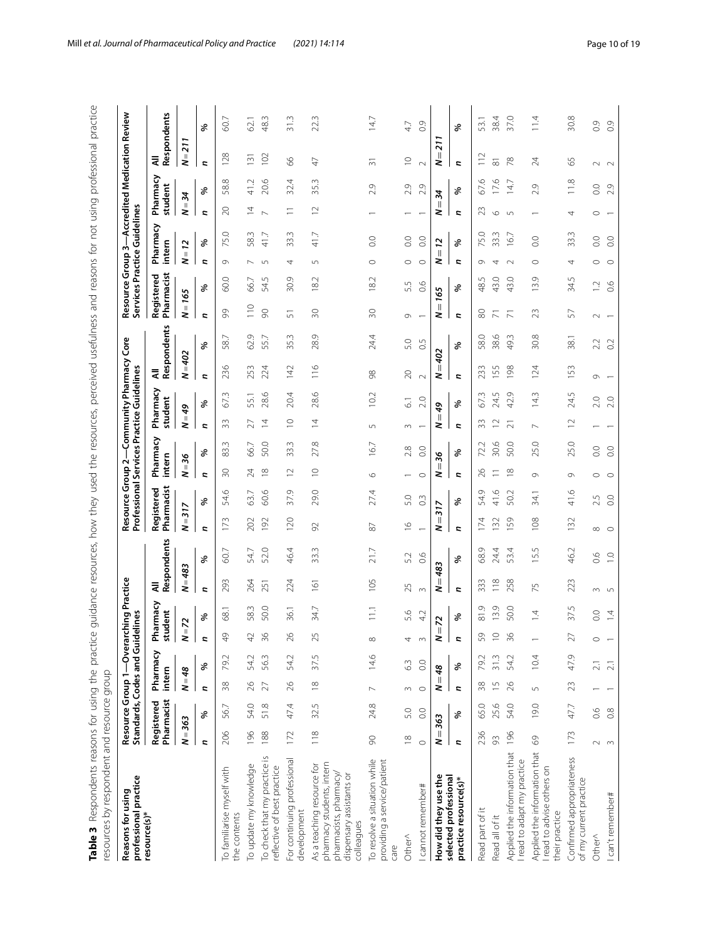<span id="page-9-0"></span>

| $\frac{1}{2}$<br>l<br>Î                                                                                                        |                                   |
|--------------------------------------------------------------------------------------------------------------------------------|-----------------------------------|
| j<br>$\frac{1}{2}$<br>ï<br>ī                                                                                                   |                                   |
| ļ<br>i<br>֡֡֡֡                                                                                                                 |                                   |
| l                                                                                                                              |                                   |
| í                                                                                                                              |                                   |
| j                                                                                                                              |                                   |
| n<br>Sing<br>Si<br>Ĺ<br>$\frac{1}{2}$                                                                                          |                                   |
| $\frac{1}{2}$                                                                                                                  |                                   |
| ١                                                                                                                              |                                   |
| ころくもくらく<br>$\ddot{ }$                                                                                                          |                                   |
| י<br>י<br>\<br>j                                                                                                               |                                   |
| .<br>.<br>.<br>١<br>ł<br>۱                                                                                                     |                                   |
| č<br>j<br>ı                                                                                                                    |                                   |
| )<br>)<br>)<br>i<br>۱<br>ļ                                                                                                     |                                   |
| j<br>)<br>S<br>1                                                                                                               |                                   |
| .<br>.<br>.<br>.<br>٦                                                                                                          |                                   |
| $\frac{1}{2}$<br>j<br>ś                                                                                                        |                                   |
| j<br>l<br>J<br>j                                                                                                               |                                   |
| $\ddot{\phantom{0}}$                                                                                                           |                                   |
| ;<br>נו<br>5                                                                                                                   |                                   |
| ister de la contrat de la contrat de la contrat de la contrat de la contrat de la contrat de la contrat de la c<br>j<br>j<br>١ |                                   |
| :<br>ן<br>۱<br>۔<br>آ<br>Í                                                                                                     |                                   |
| りりり<br>.<br>.                                                                                                                  |                                   |
| ł<br>ś<br>ć                                                                                                                    |                                   |
| l                                                                                                                              |                                   |
| $\frac{1}{2}$<br>İ                                                                                                             |                                   |
| ă<br>りりり                                                                                                                       |                                   |
| ì<br>١<br>j                                                                                                                    |                                   |
| racolli                                                                                                                        |                                   |
| í<br>1<br>j<br>ļ<br>d<br>j                                                                                                     |                                   |
| ļ<br>S<br>5                                                                                                                    |                                   |
| ā<br>$\bar{\mathcal{D}}$<br>d<br>J<br>ı                                                                                        |                                   |
| i                                                                                                                              |                                   |
| ļ                                                                                                                              | ç                                 |
| j<br>$\overline{)}$                                                                                                            | ī<br>i                            |
| ţ<br>١<br>١                                                                                                                    | ֘֒<br>I                           |
| ١                                                                                                                              | i                                 |
| I<br>l<br>١                                                                                                                    | í<br>֘֒<br>ί                      |
| $\frac{1}{4}$<br>١<br>l<br>j<br>ì                                                                                              | ç<br>$\ddot{\phantom{0}}$         |
| ı<br>$\ddot{\phantom{a}}$                                                                                                      | Ç<br>Ò<br>1<br>₹                  |
| j<br>j<br>ī<br>١                                                                                                               | ļ<br>¢<br>Ç                       |
| ١<br>)<br>ļ<br>i<br>ì                                                                                                          | ・・・・・・・<br>í                      |
| 1<br>I                                                                                                                         | l<br>l<br>l                       |
| y<br>5<br>í                                                                                                                    | i<br>$\ddot{\phantom{0}}$         |
| ¢                                                                                                                              | $\overline{\mathbf{C}}$<br>i<br>ĺ |

| professional practice<br>Reasons for using                                                                                  |                  | Standards, Codes and Guidelines<br>Resource Group 1-Overarch |                  |                  |                          | ing Practice     |                |                |                          | Professional Services Practice Guidelines<br>Resource Group 2- |                  |                  |                     | Community Pharmacy |             | Core        | Resource                             |                                            | Group <sub>3</sub>   | Services Practice Guidelines |                          |                | Accredited Medication Review |                  |
|-----------------------------------------------------------------------------------------------------------------------------|------------------|--------------------------------------------------------------|------------------|------------------|--------------------------|------------------|----------------|----------------|--------------------------|----------------------------------------------------------------|------------------|------------------|---------------------|--------------------|-------------|-------------|--------------------------------------|--------------------------------------------|----------------------|------------------------------|--------------------------|----------------|------------------------------|------------------|
| resource(s)*                                                                                                                |                  | Pharmacist<br>Registered                                     | intern           | Pharmacy         | student<br>Pha           | rmacy            | ₹              | Respondents    | Pharmacist<br>Registered |                                                                | intern           | Pharmacy         | Pharmacy<br>student |                    | ₹           | Respondents |                                      | Pharmacist<br>Registered                   | intern               | Pharmacy                     | Pharmacy<br>student      |                | Respondents<br>₹             |                  |
|                                                                                                                             | $1 = 363$<br>2   |                                                              | $N = 48$         |                  | $\overline{\phantom{a}}$ | $\overline{z}$   | $= 483$<br>2   |                | $N = 317$                |                                                                | $N = 36$         |                  | $6b =$<br>2         |                    | $N = 402$   |             | $N = 165$                            |                                            | $= 12$<br>2          |                              | $N = 34$                 |                | $N = 211$                    |                  |
|                                                                                                                             | <b>z</b>         | %                                                            | Z,               | %                | $\overline{\phantom{a}}$ | $\delta$         | L.             | %              | L.                       | $\delta$                                                       | L.               | $\delta$         | L.                  | ℅                  | L.          | %           | L.                                   | %                                          | Z,                   | $\delta$                     | L.                       | ℅              | L.                           | ৡ                |
| To familiarise myself with<br>the contents                                                                                  | 206              | 56.7                                                         | 38               | Ņ<br>79.         | $\frac{1}{2}$            | 68.1             | 293            | 60.7           | 173                      | 54.6                                                           | $\Im$            | m<br>83.         | 33                  | 67.3               | 236         | 58.7        | 99                                   | 60.0                                       | $\circ$              | 75.0                         | $\gtrsim$                | 58.8           | 128                          | 60.7             |
| To update my knowledge                                                                                                      | 196              | 54.0                                                         | $\approx$        | 54.2             | 42                       | 58.3             | 264            | 54.7           | 202                      | 63.7                                                           | $\overline{24}$  | 66.7             | 27                  | 55.1               | 253         | 62.9        | 110                                  | 66.7                                       | $\overline{ }$       | 58.3                         | $\overline{4}$           | 41.2           | 131                          | 62.1             |
| To check that my practice is<br>reflective of best practice                                                                 | 188              | 51.8                                                         | $\overline{27}$  | 56.3             | 36                       | 50.0             | 251            | 52.0           | 192                      | 60.6                                                           | $\approx$        | 50.0             | $\overline{4}$      | 28.6               | 224         | 55.7        | $\infty$                             | 54.5                                       | $\sqrt{2}$           | 41.7                         | $\sim$                   | 20.6           | 102                          | 48.3             |
| For continuing professional<br>development                                                                                  | 172              | 47.4                                                         | $26$             | 54.2             | 26                       | 36.1             | 224            | 46.4           | 120                      | 37.9                                                           | $\supseteq$      | 33.3             | $\supseteq$         | 20.4               | 142         | 35.3        | 51                                   | 30.9                                       | 4                    | 33.3                         | $\equiv$                 | 32.4           | 89                           | 31.3             |
| pharmacy students, intern<br>As a teaching resource for<br>pharmacists, pharmacy/<br>dispensary assistants or<br>colleagues | $\frac{8}{10}$   | 32.5                                                         | $\frac{8}{10}$   | 37.5             | 25                       | 34.7             | 161            | 33.3           | 92                       | 29.0                                                           | $\supseteq$      | 27.8             | $\overline{4}$      | 28.6               | 116         | 28.9        | $\approx$                            | Ņ<br>$\overline{8}$                        | 5                    | 41.7                         | $\supseteq$              | 35.3           | 47                           | 22.3             |
| To resolve a situation while<br>providing a service/patient<br>care                                                         | 90               | 24.8                                                         | $\sim$           | 14.6             | $\infty$                 | $\overline{111}$ | 105            | 21.7           | $\rm 87$                 | 27.4                                                           | $\circ$          | 16.7             | $\Box$              | 102                | 88          | 24.4        | $\approx$                            | 18.2                                       | $\circ$              | $\overline{0}$ .             |                          | 2.9            | $\overline{31}$              | 14.7             |
| Other^                                                                                                                      | $\frac{8}{10}$   | 5.0                                                          | $\sim$           | 63               | 4                        | 5.6              | 25             | 5.2            | $\tilde{=}$              | 5.0                                                            |                  | 2.8              | $\sim$              | $\overline{6}$     | $\gtrsim$   | 5.0         | G                                    | 5.5                                        | $\circ$              | $\overline{0}$ .             |                          | 2.9            | $\supseteq$                  | 47               |
| cannot remember#                                                                                                            | $\circ$          | 0.0                                                          | $\circ$          | $\rm ^{\circ}$   | $\sim$                   | 4.2              | $\infty$       | 0.6            | $\overline{ }$           | $\widetilde{\mathrm{C}}$                                       | $\circ$          | $\rm ^{\circ}$   | $\overline{a}$      | 2.0                | $\sim$      | 0.5         | $\overline{ }$                       | 66                                         | $\circ$              | $\rm ^{0}$                   |                          | 2.9            | $\sim$                       | 0.9              |
| How did they use the                                                                                                        | $\parallel$<br>2 | 363                                                          | $\parallel$<br>2 | 48               | $\parallel$<br>2         | $\overline{z}$   | $=483$<br>2    |                | 317<br>$\mid$<br>2       |                                                                | $\parallel$<br>2 | 36               | $6b =$<br>2         |                    | $=402$<br>2 |             | $\label{eq:1} \left\  \right\ $<br>2 | 165                                        | $\lvert \rvert$<br>2 | 12                           | 34<br>$\mathbb{I}$<br>2  |                | 211<br>$\parallel$<br>2      |                  |
| selected professional<br>practice resource(s)*                                                                              | L.               | శ                                                            | Z,               | %                | Z,                       | $\delta$         | Z,             | %              | J,                       | $\delta$                                                       | L.               | %                | Z,                  | &                  | r,          | %           | L.                                   | శి                                         | Z,                   | %                            | L.                       | శి             | L.                           | %                |
| Read part of it                                                                                                             | 236              | 65.0                                                         | 38               | 79.2             | 59                       | 81.9             | S<br>33        | 68.9           | 174                      | 54.9                                                           | 26               | 72.2             | 33                  | 67.3               | 233         | 58.0        | 80                                   | 48.5                                       | G                    | 75.0                         | 23                       | 67.6           | 112                          | 53.1             |
| Read all of it                                                                                                              | 93               | 25.6                                                         | $\frac{5}{1}$    | 31.3             | $\supseteq$              | 13.9             | $\frac{8}{10}$ | 24.4           | 132                      | 41.6                                                           | Ξ                | 30.6             | $\supseteq$         | 24.5               | 55          | 38.6        | π                                    | 43.0                                       | 4                    | 33.3                         | $\circ$                  | 17.6           | $\overline{\infty}$          | 38.4             |
| Applied the information that<br>read to adapt my practice                                                                   | 196              | 54.0                                                         | 26               | 54.2             | 36                       | 50.0             | 258            | 53.4           | 159                      | 50.2                                                           | $\approx$        | 50.0             | $\overline{2}$      | 42.9               | 198         | 49.3        | $\overline{\pi}$                     | 43.0                                       | $\sim$               | 16.7                         | $\overline{5}$           | 14.7           | 78                           | 37.0             |
| Applied the information that<br>I read to advise others on<br>their practice                                                | 69               | 19.0                                                         | S                | 10.4             |                          | $\overline{4}$   | 75             | 15.5           | 108                      | 34.1                                                           | G                | 25.0             | $\sim$              | 14.3               | 124         | 30.8        | 23                                   | 13.9                                       | $\circ$              | $\overline{0}$ .             |                          | 2.9            | 24                           | 11.4             |
| Confirmed appropriateness<br>of my current practice                                                                         | 173              | 47.7                                                         | 23               | 47.9             | 27                       | 37.5             | 223            | 46.2           | 132                      | 41.6                                                           | $\circ$          | 25.0             | $\supseteq$         | 24.5               | 153         | 38.1        | 57                                   | 34.5                                       | 4                    | 33.3                         | 4                        | 11.8           | 59                           | 30.8             |
| Other^                                                                                                                      | $\sim$           | 0.6                                                          |                  | $\overline{2.1}$ | $\circ$                  | 0.0              | m <sub>1</sub> | 60             | $\infty$                 | 2.5                                                            | $\circ$          | $_{\odot}$       |                     | 2.0                | $\circ$     | 2.2         | $\sim$                               | $\overline{\smash{\smash{\bigcup}}\limits$ | $\circ$              | $\rm ^{\circ}$               | $\circ$                  | $\rm ^{\circ}$ | $\sim$ $\sim$                | 0.9              |
| I can't remember#                                                                                                           | $\sim$           | $\frac{8}{2}$                                                |                  | $\overline{21}$  |                          | $\overline{4}$   |                | $\overline{C}$ | $\circ$                  | $\rm ^{\circ}$                                                 | $\circ$          | $\overline{O}$ . |                     | 2.0                |             | 0.2         | $\overline{\phantom{0}}$             | $\frac{6}{10}$                             | $\circ$              | $\rm{C}$                     | $\overline{\phantom{a}}$ | 2.9            |                              | $\overline{O}$ . |
|                                                                                                                             |                  |                                                              |                  |                  |                          |                  |                |                |                          |                                                                |                  |                  |                     |                    |             |             |                                      |                                            |                      |                              |                          |                |                              |                  |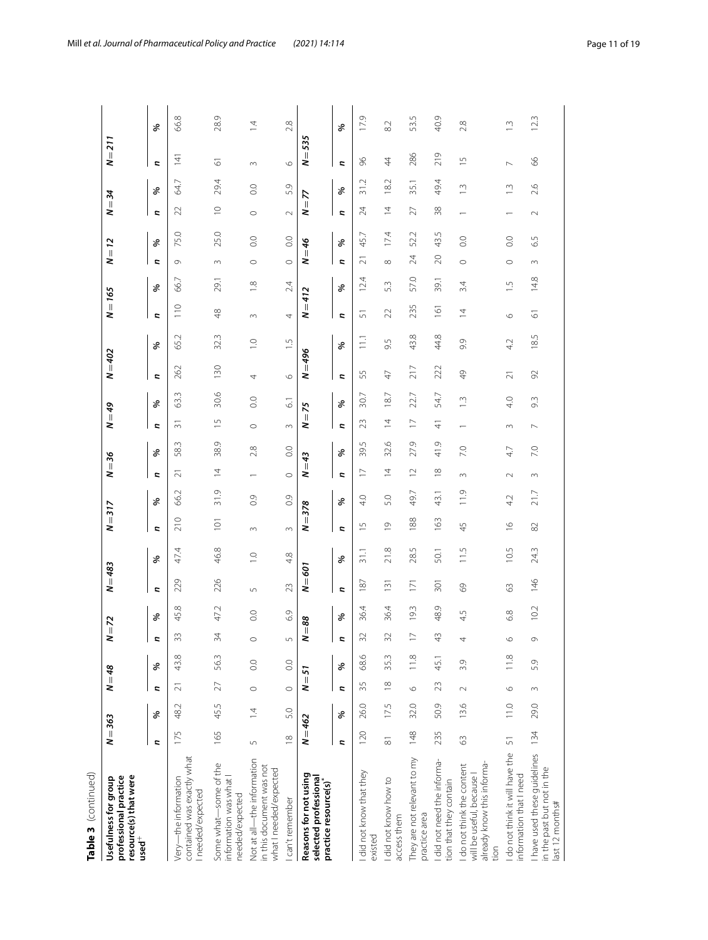| Table 3 (continued)                                                                           |                     |                |                     |                |                          |            |                  |                  |                       |                |                              |      |                |                |                |                |                  |               |              |                  |                         |                  |                          |                |
|-----------------------------------------------------------------------------------------------|---------------------|----------------|---------------------|----------------|--------------------------|------------|------------------|------------------|-----------------------|----------------|------------------------------|------|----------------|----------------|----------------|----------------|------------------|---------------|--------------|------------------|-------------------------|------------------|--------------------------|----------------|
| resource(s) that were<br>professional practice<br>Usefulness for group<br>$used^+$            | $N = 363$           |                | $N = 48$            |                | $N = 72$                 |            | $N = 483$        |                  | ₹                     | 317            | $\overline{\mathbb{I}}$<br>2 | 36   | $6b = N$       |                | $N = 402$      |                | $N = 165$        |               | 2            | $= 12$           | $\overline{\mathbf{v}}$ | 24               | $N = 211$                |                |
|                                                                                               | Z,                  | శ              | <b>Z</b>            | ళ              | <b>z</b>                 | ್ಯ         | <b>Z</b>         | ళ                | <b>Z</b>              | శ              | <b>Z</b>                     | శ    | <b>Z</b>       | శి             | Z,             | ৡ              | J,               | ళ             | <b>Z</b>     | శి               | <b>Z</b>                | శ                | <b>Z</b>                 | శ              |
| contained was exactly what<br>Very-the information<br>needed/expected                         | 175                 | 48.2           | $\sim$              | 43.8           | 33                       | 45.8       | 229              | 47.4             | 210                   | 66.2           | Ń                            | 58.3 | $\sim$         | W<br>3.        | 262            | 65.2           | 110              | 66.7          | $\circ$      | 75.0             | $\mathbf{z}$            | 64.7             | $\frac{1}{4}$            | 66.8           |
| Some what-some of the<br>information was what I<br>needed/expected                            | 165                 | 45.5           | 27                  | 56.3           | 34                       | 47.2       | 226              | 46.8             | $\overline{10}$       | 31.9           | $\overline{4}$               | 38.9 | 5              | 30.6           | 130            | 32.3           | $\frac{8}{4}$    | 29.1          | 3            | 25.0             | $\supseteq$             | 29.4             | 5                        | 28.9           |
| Not at all-the information<br>in this document was not<br>what I needed/expected              | $\overline{5}$      | $\overline{4}$ | $\circ$             | $\rm ^{\circ}$ | $\circ$                  | $_{\odot}$ | $\sqrt{2}$       | $\overline{1}$ . | $\sim$                | $\frac{6}{10}$ |                              | 2.8  | $\circ$        | $\rm ^{\circ}$ | 4              | $\overline{C}$ | $\infty$         | $\frac{8}{1}$ | $\circ$      | $_{\odot}$       | $\circ$                 | $\overline{0}$ . | $\infty$                 | $\overline{4}$ |
| I can't remember                                                                              | $\approx$           | 5.0            | $\circ$             | 0.0            | $\overline{5}$           | 6.9        | 23               | 4.8              | $\sim$                | 0.9            | $\circ$                      | 0.0  | $\sim$         | $\overline{6}$ | $\circ$        | $\frac{5}{1}$  | 4                | 2.4           | $\circ$      | $\overline{0}$ . | $\sim$                  | 5.9              | $\circ$                  | 2.8            |
| Reasons for not using<br>selected professional<br>practice resource(s)*                       | $N = 462$           |                | $\, \parallel$<br>2 | 57             | $\overline{\phantom{a}}$ | 88         | Ш<br>z           | 501              | Ш<br>2                | 378            | Ш<br>2                       | 43   | Ш<br>2         | 75             | 496<br>Ш<br>2  |                | $N = 412$        |               | Ш<br>2       | 9                | Ш<br>2                  | 7                | 535<br>Ш<br>z            |                |
|                                                                                               | Z,                  | ৡ              | r,                  | ৡ              | C)                       | ಸಿ         | Z,               | ళ                | Z,                    | శి             | Z,                           | శ    | Z,             | శ              | Z,             | శి             | Z,               | శ             | Z,           | ৡ                | Z,                      | ళ                | Z,                       | శి             |
| I did not know that they<br>existed                                                           | 120                 | 26.0           | 35                  | 68.6           | 32                       | 36.4       | 187              | 31.1             | $\frac{5}{1}$         | 4.0            | $\overline{\phantom{0}}$     | 39.5 | 23             | 30.7           | 55             | $\Xi$          | 5                | 12.4          | $\bar{\sim}$ | 45.7             | 24                      | 31.2             | 96                       | 17.9           |
| I did not know how to<br>access them                                                          | $\overline{\infty}$ | 17.5           | $\frac{8}{18}$      | 35.3           | 32                       | 36.4       | $\overline{13}$  | 21.8             | $\circ$               | 5.0            | $\overline{4}$               | 32.6 | $\overline{4}$ | 18.7           | $\overline{4}$ | 9.5            | 22               | 5.3           | $\infty$     | 174              | $\overline{4}$          | 18.2             | $\overline{4}$           | 82             |
| They are not relevant to my<br>practice area                                                  | 148                 | 32.0           | $\circ$             | 11.8           | $\overline{1}$           | 19.3       | $\bar{C}$        | 28.5             | 188                   | 49.7           | $\overline{12}$              | 27.9 | $\overline{1}$ | 22.7           | 217            | 43.8           | 235              | 57.0          | 24           | 52.2             | 27                      | 35.1             | 286                      | 53.5           |
| did not need the informa-<br>tion that they contain                                           | 235                 | 50.9           | 23                  | 45.1           | 43                       | 48.9       | $\overline{301}$ | 50.1             | 163                   | 43.1           | $\approx$                    | 41.9 | $\frac{4}{5}$  | 54.7           | 222            | 44.8           | $\overline{161}$ | 39.1          | 20           | 43.5             | 38                      | 49.4             | 219                      | 40.9           |
| already know this informa-<br>I do not think the content<br>will be useful, because I<br>tion | 63                  | 13.6           | $\sim$              | 3.9            | 4                        | 4.5        | 89               | 11.5             | 45                    | 11.9           | $\sim$                       | 7.0  |                | $\frac{1}{2}$  | $\frac{1}{2}$  | 9.9            | $\overline{4}$   | 3.4           | $\circ$      | 0.0              |                         | Š.               | $\frac{5}{1}$            | 2.8            |
| I do not think it will have the<br>information that I need                                    | 51                  | 110            | $\circ$             | 11.8           | $\circ$                  | 6.8        | $\mathbb{S}^3$   | 10.5             | $\frac{\circ}{\circ}$ | 4.2            | $\sim$                       | 4.7  | $\sim$         | 4.0            | $\overline{z}$ | 4.2            | $\circ$          | $\frac{5}{1}$ | $\circ$      | $\overline{0}$ . |                         | Ċ.               | $\overline{\phantom{0}}$ | $\frac{1}{2}$  |
| I have used these quidelines<br>in the past but not in the<br>last 12 months#                 | 134                 | 29.0           | $\sim$              | 5.9            | G                        | 10.2       | 146              | 24.3             | 82                    | 21.7           | $\sim$                       | 7.0  | $\overline{ }$ | 9.3            | 92             | 18.5           | 2                | 14.8          | 3            | 6.5              | $\sim$                  | 2.6              | 89                       | 123            |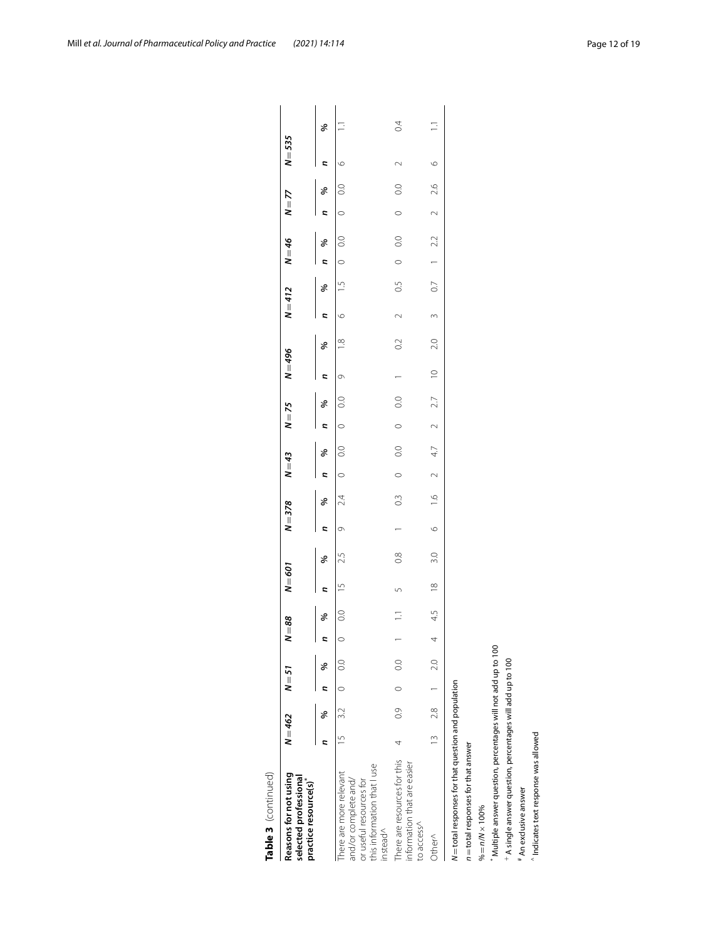| Reasons for not using<br>selected professional<br>practice resource(s)                                               | $N = 462$     |             | $N = 57$ |                  | $= 88$<br>z                   |                | $N = 601$      |               | $N = 378$ |               | $N = 43$       |                  | $N = 75$       |                  | $N = 496$   |                | $N = 412$ |                | $N = 46$       |                  | $N = 77$ |                  | $N = 535$ |     |
|----------------------------------------------------------------------------------------------------------------------|---------------|-------------|----------|------------------|-------------------------------|----------------|----------------|---------------|-----------|---------------|----------------|------------------|----------------|------------------|-------------|----------------|-----------|----------------|----------------|------------------|----------|------------------|-----------|-----|
|                                                                                                                      |               | ℅           |          | ℅                | $\overline{\phantom{a}}$<br>2 | ℅              |                | ℅             | 2         | ℅             | $\overline{a}$ | ℅                | $\overline{a}$ | ℅                | <b>z</b>    | ℅              | Ξ         | ℅              | $\overline{a}$ | ℅                | Ξ        | ℅                | c         | ৡ   |
| this information that I use<br>here are more relevant<br>and/or complete and/<br>or useful resources for<br>instead^ |               | $15 \t 3.2$ | $\circ$  | 0.0              | $\circ$                       | $\overline{0}$ | $\overline{1}$ | 2.5           | Ō         | 24            | $\circ$        | $\overline{0}$ . | $\circ$        | $\frac{0}{2}$    | O           | $\frac{8}{1}$  | $\circ$   | $\frac{5}{1}$  | $\circ$        | $\overline{0}$ . | $\circ$  | $\overline{0}$ . | $\circ$   |     |
| There are resources for this<br>information that are easier<br>to access^                                            | 4             | 03          | $\circ$  | $\overline{0}$ . |                               |                | 5              | $\frac{8}{2}$ |           | 0.3           | $\circ$        | 0.0              | $\circ$        | $\overline{0}$ . |             | $\overline{0}$ | $\sim$    | 0.5            | $\circ$        | $\overline{0}$ . | $\circ$  | $\overline{0}$ . | $\sim$    | 0.4 |
| Other^                                                                                                               | $\frac{1}{2}$ | $2.8$ 1     |          | 2.0              |                               | 45             | $\frac{8}{10}$ | 3.0           | $\circ$   | $\frac{6}{1}$ | $\sim$         | 47               | $\sim$         | 2.7              | $\supseteq$ | 2.0            | $\sim$    | $\overline{0}$ |                | 2.2              | $\sim$   | 2.6              | $\circ$   | Ξ   |
| N=total responses for that question and population<br>n = total responses for that answer                            |               |             |          |                  |                               |                |                |               |           |               |                |                  |                |                  |             |                |           |                |                |                  |          |                  |           |     |
| $% = n/N \times 100\%$                                                                                               |               |             |          |                  |                               |                |                |               |           |               |                |                  |                |                  |             |                |           |                |                |                  |          |                  |           |     |
| Multiple answer question, percentages will not add up to 100                                                         |               |             |          |                  |                               |                |                |               |           |               |                |                  |                |                  |             |                |           |                |                |                  |          |                  |           |     |
| + A single answer question, percentages will add up to 100                                                           |               |             |          |                  |                               |                |                |               |           |               |                |                  |                |                  |             |                |           |                |                |                  |          |                  |           |     |

# An exclusive answer

# An exclusive answer

 $^{\wedge}$  Indicates text response was allowed

 $^{\wedge}$  Indicates text response was allowed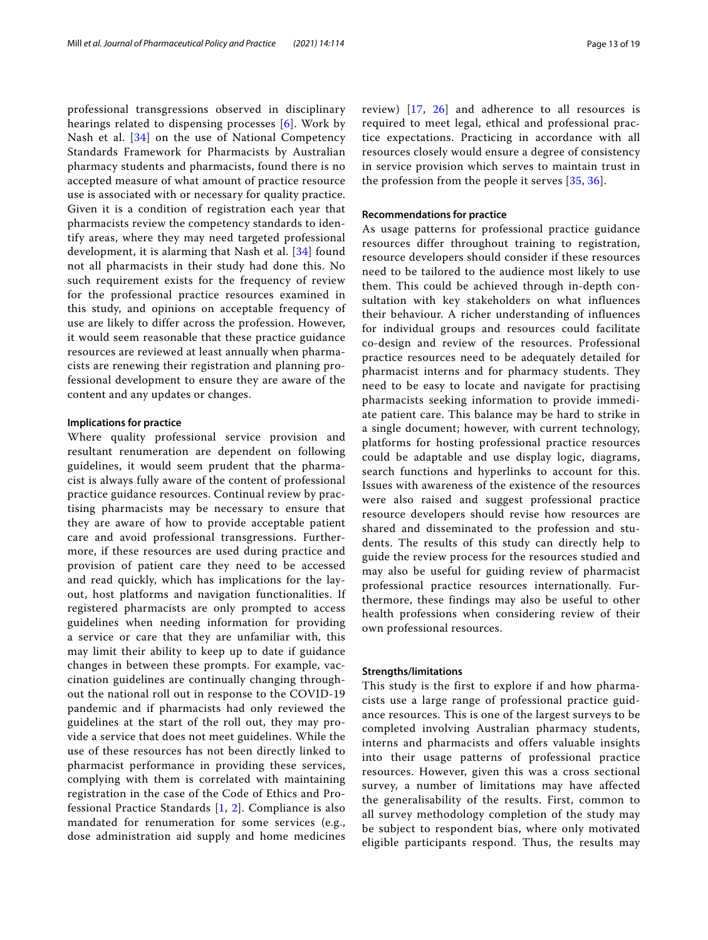professional transgressions observed in disciplinary hearings related to dispensing processes [[6](#page-17-5)]. Work by Nash et al. [[34](#page-18-8)] on the use of National Competency Standards Framework for Pharmacists by Australian pharmacy students and pharmacists, found there is no accepted measure of what amount of practice resource use is associated with or necessary for quality practice. Given it is a condition of registration each year that pharmacists review the competency standards to identify areas, where they may need targeted professional development, it is alarming that Nash et al. [[34](#page-18-8)] found not all pharmacists in their study had done this. No such requirement exists for the frequency of review for the professional practice resources examined in this study, and opinions on acceptable frequency of use are likely to differ across the profession. However, it would seem reasonable that these practice guidance resources are reviewed at least annually when pharmacists are renewing their registration and planning professional development to ensure they are aware of the content and any updates or changes.

## **Implications for practice**

Where quality professional service provision and resultant renumeration are dependent on following guidelines, it would seem prudent that the pharmacist is always fully aware of the content of professional practice guidance resources. Continual review by practising pharmacists may be necessary to ensure that they are aware of how to provide acceptable patient care and avoid professional transgressions. Furthermore, if these resources are used during practice and provision of patient care they need to be accessed and read quickly, which has implications for the layout, host platforms and navigation functionalities. If registered pharmacists are only prompted to access guidelines when needing information for providing a service or care that they are unfamiliar with, this may limit their ability to keep up to date if guidance changes in between these prompts. For example, vaccination guidelines are continually changing throughout the national roll out in response to the COVID-19 pandemic and if pharmacists had only reviewed the guidelines at the start of the roll out, they may provide a service that does not meet guidelines. While the use of these resources has not been directly linked to pharmacist performance in providing these services, complying with them is correlated with maintaining registration in the case of the Code of Ethics and Professional Practice Standards [[1](#page-17-0), [2](#page-17-3)]. Compliance is also mandated for renumeration for some services (e.g., dose administration aid supply and home medicines review) [[17,](#page-17-7) [26](#page-18-3)] and adherence to all resources is required to meet legal, ethical and professional practice expectations. Practicing in accordance with all resources closely would ensure a degree of consistency in service provision which serves to maintain trust in the profession from the people it serves [\[35,](#page-18-9) [36\]](#page-18-10).

## **Recommendations for practice**

As usage patterns for professional practice guidance resources differ throughout training to registration, resource developers should consider if these resources need to be tailored to the audience most likely to use them. This could be achieved through in-depth consultation with key stakeholders on what influences their behaviour. A richer understanding of influences for individual groups and resources could facilitate co-design and review of the resources. Professional practice resources need to be adequately detailed for pharmacist interns and for pharmacy students. They need to be easy to locate and navigate for practising pharmacists seeking information to provide immediate patient care. This balance may be hard to strike in a single document; however, with current technology, platforms for hosting professional practice resources could be adaptable and use display logic, diagrams, search functions and hyperlinks to account for this. Issues with awareness of the existence of the resources were also raised and suggest professional practice resource developers should revise how resources are shared and disseminated to the profession and students. The results of this study can directly help to guide the review process for the resources studied and may also be useful for guiding review of pharmacist professional practice resources internationally. Furthermore, these findings may also be useful to other health professions when considering review of their own professional resources.

## **Strengths/limitations**

This study is the first to explore if and how pharmacists use a large range of professional practice guidance resources. This is one of the largest surveys to be completed involving Australian pharmacy students, interns and pharmacists and offers valuable insights into their usage patterns of professional practice resources. However, given this was a cross sectional survey, a number of limitations may have affected the generalisability of the results. First, common to all survey methodology completion of the study may be subject to respondent bias, where only motivated eligible participants respond. Thus, the results may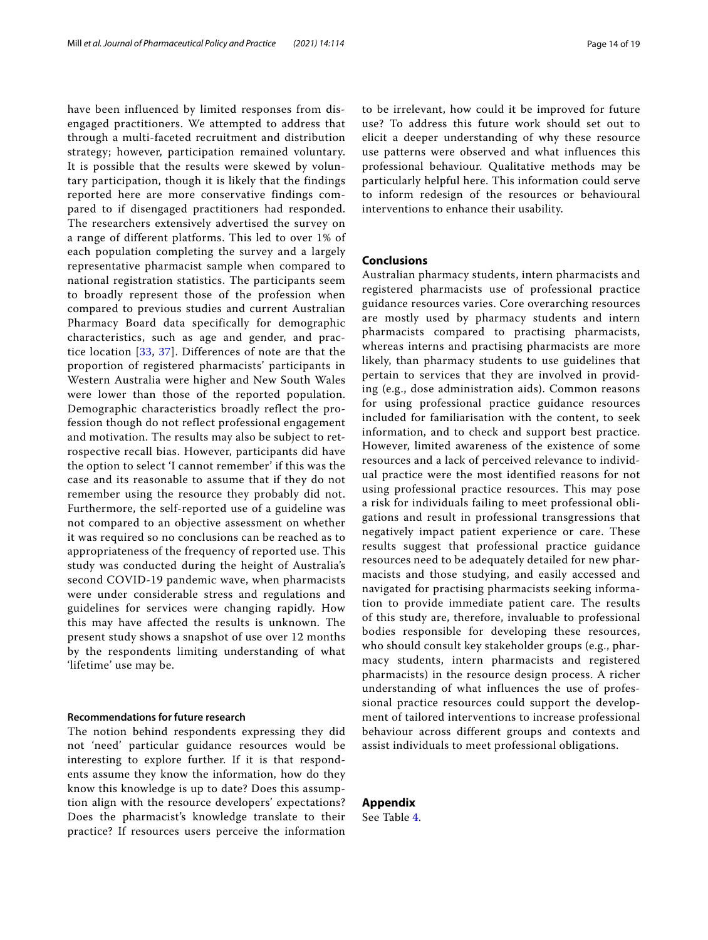have been influenced by limited responses from disengaged practitioners. We attempted to address that through a multi-faceted recruitment and distribution strategy; however, participation remained voluntary. It is possible that the results were skewed by voluntary participation, though it is likely that the findings reported here are more conservative findings compared to if disengaged practitioners had responded. The researchers extensively advertised the survey on a range of different platforms. This led to over 1% of each population completing the survey and a largely representative pharmacist sample when compared to national registration statistics. The participants seem to broadly represent those of the profession when compared to previous studies and current Australian Pharmacy Board data specifically for demographic characteristics, such as age and gender, and practice location [[33,](#page-18-7) [37\]](#page-18-11). Differences of note are that the proportion of registered pharmacists' participants in Western Australia were higher and New South Wales were lower than those of the reported population. Demographic characteristics broadly reflect the profession though do not reflect professional engagement and motivation. The results may also be subject to retrospective recall bias. However, participants did have the option to select 'I cannot remember' if this was the case and its reasonable to assume that if they do not remember using the resource they probably did not. Furthermore, the self-reported use of a guideline was not compared to an objective assessment on whether it was required so no conclusions can be reached as to appropriateness of the frequency of reported use. This study was conducted during the height of Australia's second COVID-19 pandemic wave, when pharmacists were under considerable stress and regulations and guidelines for services were changing rapidly. How this may have affected the results is unknown. The present study shows a snapshot of use over 12 months by the respondents limiting understanding of what 'lifetime' use may be.

## **Recommendations for future research**

The notion behind respondents expressing they did not 'need' particular guidance resources would be interesting to explore further. If it is that respondents assume they know the information, how do they know this knowledge is up to date? Does this assumption align with the resource developers' expectations? Does the pharmacist's knowledge translate to their practice? If resources users perceive the information to be irrelevant, how could it be improved for future use? To address this future work should set out to elicit a deeper understanding of why these resource use patterns were observed and what influences this professional behaviour. Qualitative methods may be particularly helpful here. This information could serve to inform redesign of the resources or behavioural interventions to enhance their usability.

## **Conclusions**

Australian pharmacy students, intern pharmacists and registered pharmacists use of professional practice guidance resources varies. Core overarching resources are mostly used by pharmacy students and intern pharmacists compared to practising pharmacists, whereas interns and practising pharmacists are more likely, than pharmacy students to use guidelines that pertain to services that they are involved in providing (e.g., dose administration aids). Common reasons for using professional practice guidance resources included for familiarisation with the content, to seek information, and to check and support best practice. However, limited awareness of the existence of some resources and a lack of perceived relevance to individual practice were the most identified reasons for not using professional practice resources. This may pose a risk for individuals failing to meet professional obligations and result in professional transgressions that negatively impact patient experience or care. These results suggest that professional practice guidance resources need to be adequately detailed for new pharmacists and those studying, and easily accessed and navigated for practising pharmacists seeking information to provide immediate patient care. The results of this study are, therefore, invaluable to professional bodies responsible for developing these resources, who should consult key stakeholder groups (e.g., pharmacy students, intern pharmacists and registered pharmacists) in the resource design process. A richer understanding of what influences the use of professional practice resources could support the development of tailored interventions to increase professional behaviour across different groups and contexts and assist individuals to meet professional obligations.

**Appendix** See Table [4](#page-14-0).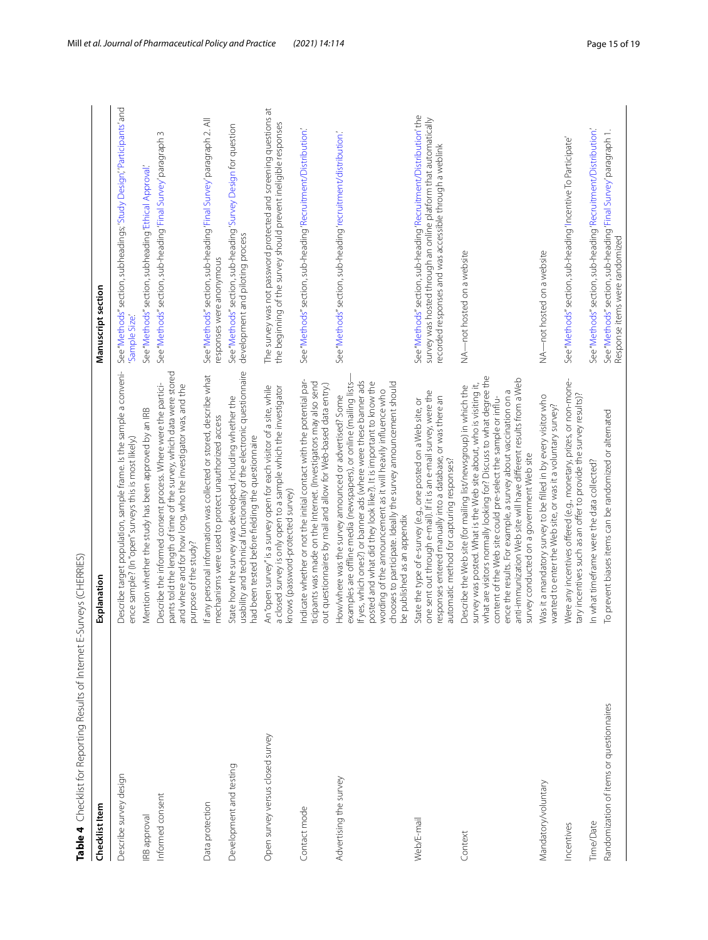<span id="page-14-0"></span>

| Ì<br>Ī         |                      | J<br>Į       |   |
|----------------|----------------------|--------------|---|
| j              |                      |              |   |
| Ì              |                      |              |   |
| ļ              |                      | I            |   |
| I              |                      | J            |   |
|                |                      | j            |   |
|                |                      |              |   |
|                |                      | J            |   |
|                | i                    | i            |   |
| Ó              |                      |              |   |
|                | I                    | $\mathbf{r}$ |   |
| l              |                      | Į            |   |
|                | l                    | J            |   |
|                |                      |              |   |
|                | I                    | J            |   |
|                |                      |              |   |
|                | I                    |              |   |
| ï              |                      | ١            |   |
|                | $\ddot{\ddot{\tau}}$ |              |   |
|                |                      |              |   |
|                | I                    | j            |   |
| $\overline{1}$ | ١                    | J            |   |
|                | i                    |              |   |
|                | ļ                    |              | I |
|                |                      |              |   |
|                | <br> <br>            |              |   |
|                |                      | l<br>١       |   |
|                | י<br>י               | J            |   |
| Ï              |                      |              |   |
|                |                      |              |   |
|                | Ï                    | ١            |   |
|                |                      |              |   |
|                |                      |              |   |
|                | I                    | j            |   |
|                |                      |              |   |
|                |                      |              |   |
| I              |                      | j            |   |
| I              |                      |              |   |
|                |                      |              |   |
|                |                      |              |   |
|                |                      | ı            |   |

| Checklist Item                           | Explanation                                                                                                                                                                                                                                                                                                                                                                                                                                                      | Manuscript section                                                                                                                                                                              |
|------------------------------------------|------------------------------------------------------------------------------------------------------------------------------------------------------------------------------------------------------------------------------------------------------------------------------------------------------------------------------------------------------------------------------------------------------------------------------------------------------------------|-------------------------------------------------------------------------------------------------------------------------------------------------------------------------------------------------|
| Describe survey design                   | Describe target population, sample frame. Is the sample a conveni-<br>ence sample? (In "open" surveys this is most likely.)                                                                                                                                                                                                                                                                                                                                      | See "Methods" section, subheadings; 'Study Design', 'Participants' and<br>Sample Size                                                                                                           |
| <b>IRB</b> approval                      | Mention whether the study has been approved by an IRB                                                                                                                                                                                                                                                                                                                                                                                                            | See "Methods" section, subheading 'Ethical Approval'                                                                                                                                            |
| Informed consent                         | pants told the length of time of the survey, which data were stored<br>Describe the informed consent process. Where were the partici-<br>and where and for how long, who the investigator was, and the<br>purpose of the study?                                                                                                                                                                                                                                  | $\sim$<br>See "Methods" section, sub-heading 'Final Survey' paragraph                                                                                                                           |
| Data protection                          | If any personal information was collected or stored, describe what<br>mechanisms were used to protect unauthorized access                                                                                                                                                                                                                                                                                                                                        | See "Methods" section, sub-heading 'Final Survey' paragraph 2. All<br>responses were anonymous                                                                                                  |
| Development and testing                  | usability and technical functionality of the electronic questionnaire<br>State how the survey was developed, including whether the<br>had been tested before fielding the questionnaire                                                                                                                                                                                                                                                                          | See "Methods" section, sub-heading 'Survey Design for question<br>development and piloting process                                                                                              |
| Open survey versus closed survey         | An "open survey" is a survey open for each visitor of a site, while<br>a closed survey is only open to a sample which the investigator<br>knows (password-protected survey)                                                                                                                                                                                                                                                                                      | The survey was not password protected and screening questions at<br>the beginning of the survey should prevent ineligible responses                                                             |
| Contact mode                             | Indicate whether or not the initial contact with the potential par-<br>ticipants was made on the Internet. (Investigators may also send<br>out questionnaires by mail and allow for Web-based data entry.)                                                                                                                                                                                                                                                       | See "Methods" section, sub-heading 'Recruitment/Distribution.'                                                                                                                                  |
| Advertising the survey                   | If yes, which ones?) or banner ads (where were these banner ads<br>chooses to participate. Ideally the survey announcement should<br>posted and what did they look like?). It is important to know the<br>examples are offline media (newspapers), or online (mailing lists-<br>wording of the announcement as it will heavily influence who<br>How/where was the survey announced or advertised? Some<br>be published as an appendix                            | See "Methods" section, sub-heading 'recruitment/distribution.'                                                                                                                                  |
| Web/E-mail                               | one sent out through e-mail). If it is an e-mail survey, were the<br>responses entered manually into a database, or was there an<br>State the type of e-survey (e.g., one posted on a Web site, or<br>automatic method for capturing responses?                                                                                                                                                                                                                  | See "Methods" section, sub-heading 'Recruitment/Distribution' the<br>survey was hosted through an online platform that automatically<br>recorded responses and was accessible through a weblink |
| Context                                  | what are visitors normally looking for? Discuss to what degree the<br>anti-immunization Web site will have different results from a Web<br>survey was posted. What is the Web site about, who is visiting it,<br>Describe the Web site (for mailing list/newsgroup) in which the<br>ence the results. For example, a survey about vaccination on a<br>content of the Web site could pre-select the sample or influ-<br>survey conducted on a government Web site | NA-not hosted on a website                                                                                                                                                                      |
| Mandatory/voluntary                      | Was it a mandatory survey to be filled in by every visitor who<br>wanted to enter the Web site, or was it a voluntary survey?                                                                                                                                                                                                                                                                                                                                    | NA-not hosted on a website                                                                                                                                                                      |
| Incentives                               | Were any incentives offered (e.g., monetary, prizes, or non-mone-<br>tary incentives such as an offer to provide the survey results)?                                                                                                                                                                                                                                                                                                                            | See "Methods" section, sub-heading 'Incentive To Participate'                                                                                                                                   |
| Time/Date                                | In what timeframe were the data collected?                                                                                                                                                                                                                                                                                                                                                                                                                       | See "Methods" section, sub-heading 'Recruitment/Distribution.'                                                                                                                                  |
| Randomization of items or questionnaires | To prevent biases items can be randomized or alternated                                                                                                                                                                                                                                                                                                                                                                                                          | See "Methods" section, sub-heading 'Final Survey' paragraph 1.<br>Response items were randomized                                                                                                |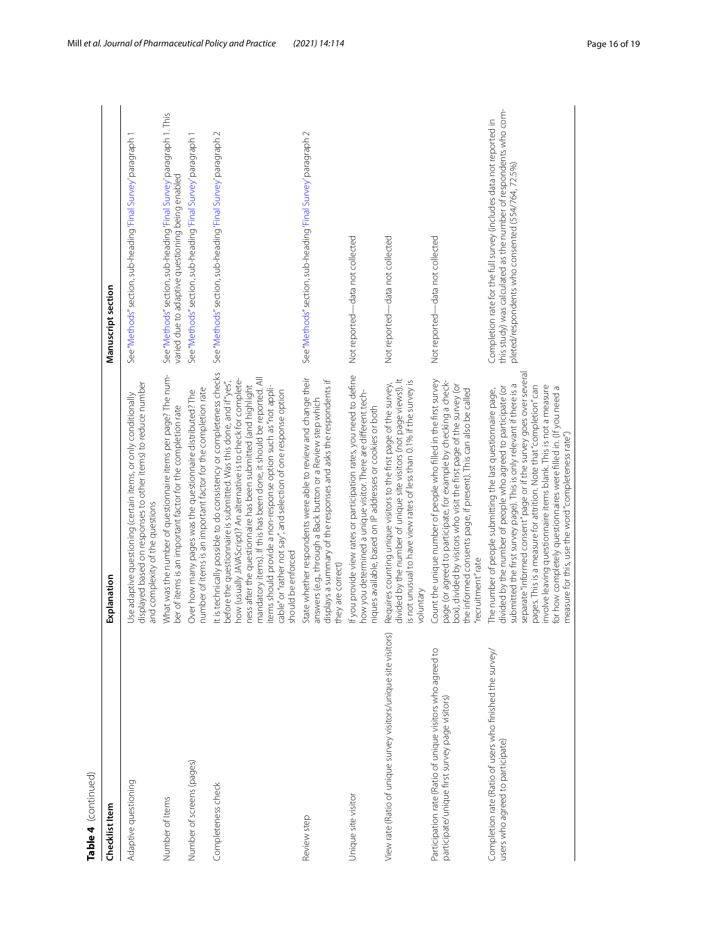| ۹<br>E |
|--------|
|        |
| c      |
|        |
|        |
|        |
|        |

| Table 4 (continued)                                                                                          |                                                                                                                                                                                                                                                                                                                                                                                                                                                                                                                                                   |                                                                                                                                                                                             |
|--------------------------------------------------------------------------------------------------------------|---------------------------------------------------------------------------------------------------------------------------------------------------------------------------------------------------------------------------------------------------------------------------------------------------------------------------------------------------------------------------------------------------------------------------------------------------------------------------------------------------------------------------------------------------|---------------------------------------------------------------------------------------------------------------------------------------------------------------------------------------------|
| Checklist Item                                                                                               | xplanation                                                                                                                                                                                                                                                                                                                                                                                                                                                                                                                                        | Manuscript section                                                                                                                                                                          |
| Adaptive questioning                                                                                         | lisplayed based on responses to other items) to reduce number<br>Ise adaptive questioning (certain items, or only conditionally<br>ind complexity of the questions                                                                                                                                                                                                                                                                                                                                                                                | See "Methods" section, sub-heading 'Final Survey' paragraph                                                                                                                                 |
| Number of Items                                                                                              | What was the number of questionnaire items per page? The num-<br>ber of items is an important factor for the completion rate                                                                                                                                                                                                                                                                                                                                                                                                                      | See "Methods" section, sub-heading 'Final Survey' paragraph 1. This<br>varied due to adaptive questioning being enabled                                                                     |
| Number of screens (pages)                                                                                    | number of items is an important factor for the completion rate<br>Over how many pages was the questionnaire distributed? The                                                                                                                                                                                                                                                                                                                                                                                                                      | See "Methods" section, sub-heading 'Final Survey' paragraph 1                                                                                                                               |
| Completeness check                                                                                           | t is technically possible to do consistency or completeness checks<br>nandatory items). If this has been done, it should be reported. All<br>now (usually JAVAScript)? An alternative is to check for complete-<br>before the questionnaire is submitted. Was this done, and if "yes",<br>ress after the questionnaire has been submitted (and highlight<br>tems should provide a non-response option such as "not appli-<br>able" or "rather not say", and selection of one response option<br>hould be enforced                                 | See "Methods" section, sub-heading 'Final Survey' paragraph 2                                                                                                                               |
| Review step                                                                                                  | State whether respondents were able to review and change their<br>displays a summary of the responses and asks the respondents if<br>answers (e.g., through a Back button or a Review step which<br>they are correct)                                                                                                                                                                                                                                                                                                                             | See "Methods" section, sub-heading 'Final Survey' paragraph 2                                                                                                                               |
| Jnique site visitor                                                                                          | If you provide view rates or participation rates, you need to define<br>how you determined a unique visitor. There are different tech-<br>hiques available, based on IP addresses or cookies or both                                                                                                                                                                                                                                                                                                                                              | Not reported—data not collected                                                                                                                                                             |
| View rate (Ratio of unique survey visitors/unique site visitors)                                             | divided by the number of unique site visitors (not page views!). It<br>is not unusual to have view rates of less than 0.1% if the survey is<br>Requires counting unique visitors to the first page of the survey,<br>voluntary                                                                                                                                                                                                                                                                                                                    | Not reported—data not collected                                                                                                                                                             |
| Participation rate (Ratio of unique visitors who agreed to<br>participate/unique first survey page visitors) | Count the unique number of people who filled in the first survey<br>page (or agreed to participate, for example by checking a check-<br>box), divided by visitors who visit the first page of the survey (or<br>he informed consents page, if present). This can also be called<br>recruitment" rate                                                                                                                                                                                                                                              | Not reported—data not collected                                                                                                                                                             |
| Completion rate (Ratio of users who finished the survey,<br>users who agreed to participate)                 | separate "informed consent" page or if the survey goes over several<br>submitted the first survey page). This is only relevant if there is a<br>nvolve leaving questionnaire items blank. This is not a measure<br>divided by the number of people who agreed to participate (or<br>pages. This is a measure for attrition. Note that "completion" can<br>for how completely questionnaires were filled in. (If you need a<br>The number of people submitting the last questionnaire page,<br>neasure for this, use the word "completeness rate") | this study) was calculated as the number of respondents who com-<br>Completion rate for the full survey (includes data not reported in<br>pleted/respondents who consented (554/764, 72.5%) |
|                                                                                                              |                                                                                                                                                                                                                                                                                                                                                                                                                                                                                                                                                   |                                                                                                                                                                                             |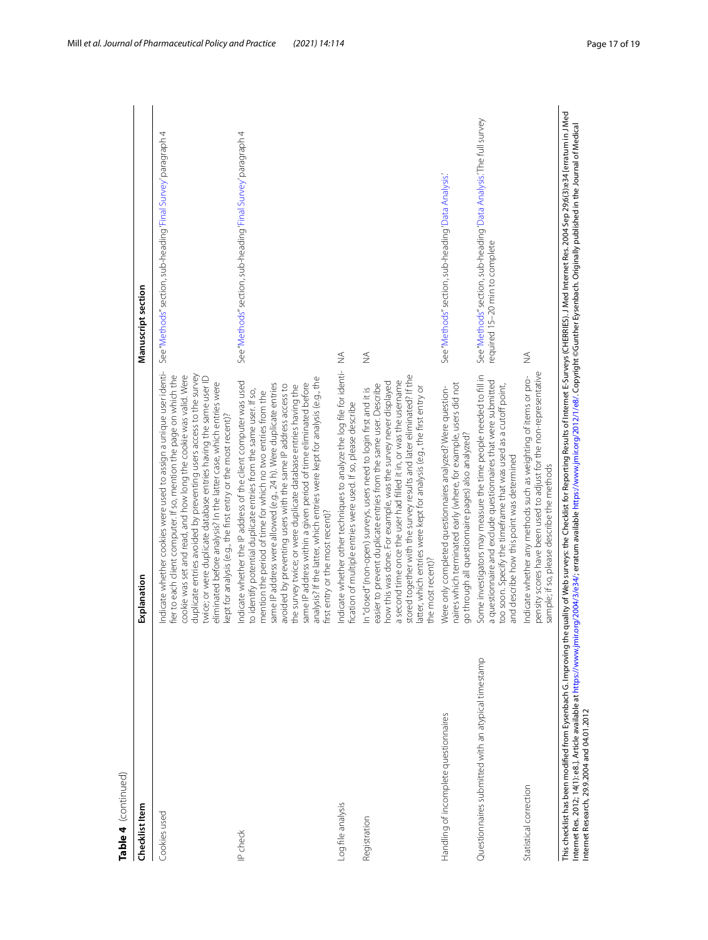| ÷<br>c<br>U |
|-------------|
|             |

| Checklist Item                                      | Explanation                                                                                                                                                                                                                                                                                                                                                                                                                                                                                                                                                                                        | Manuscript section                                                                                   |
|-----------------------------------------------------|----------------------------------------------------------------------------------------------------------------------------------------------------------------------------------------------------------------------------------------------------------------------------------------------------------------------------------------------------------------------------------------------------------------------------------------------------------------------------------------------------------------------------------------------------------------------------------------------------|------------------------------------------------------------------------------------------------------|
| Cookies used                                        | Indicate whether cookies were used to assign a unique user identi-<br>duplicate entries avoided by preventing users access to the survey<br>cookie was set and read, and how long the cookie was valid. Were<br>fier to each client computer. If so, mention the page on which the<br>twice; or were duplicate database entries having the same user ID<br>eliminated before analysis? In the latter case, which entries were<br>kept for analysis (e.g., the first entry or the most recent)?                                                                                                     | See "Methods" section, sub-heading 'Final Survey' paragraph 4                                        |
| IP check                                            | analysis? If the latter, which entries were kept for analysis (e.g., the<br>Indicate whether the IP address of the client computer was used<br>same IP address were allowed (e.g., 24 h). Were duplicate entries<br>same IP address within a given period of time eliminated before<br>avoided by preventing users with the same IP address access to<br>the survey twice; or were duplicate database entries having the<br>to identify potential duplicate entries from the same user. If so,<br>mention the period of time for which no two entries from the<br>first entry or the most recent)? | See "Methods" section, sub-heading 'Final Survey' paragraph 4                                        |
| -og file analysis                                   | Indicate whether other techniques to analyze the log file for identi-<br>fication of multiple entries were used. If so, please describe                                                                                                                                                                                                                                                                                                                                                                                                                                                            | $\widetilde{\geq}$                                                                                   |
| Registration                                        | stored together with the survey results and later eliminated? If the<br>a second time once the user had filled it in, or was the username<br>how this was done. For example, was the survey never displayed<br>easier to prevent duplicate entries from the same user. Describe<br>latter, which entries were kept for analysis (e.g., the first entry or<br>In "closed" (non-open) surveys, users need to login first and it is<br>the most recent)?                                                                                                                                              | $\not\leq$                                                                                           |
| Handling of incomplete questionnaires               | naires which terminated early (where, for example, users did not<br>Were only completed questionnaires analyzed? Were question-<br>go through all questionnaire pages) also analyzed?                                                                                                                                                                                                                                                                                                                                                                                                              | See "Methods" section, sub-heading 'Data Analysis.'                                                  |
| Questionnaires submitted with an atypical timestamp | Some investigators may measure the time people needed to fill in<br>a questionnaire and exclude questionnaires that were submitted<br>too soon. Specify the timeframe that was used as a cutoff point,<br>and describe how this point was determined                                                                                                                                                                                                                                                                                                                                               | See "Methods" section, sub-heading 'Data Analysis. The full survey<br>required 15-20 min to complete |
| Statistical correction                              | pensity scores have been used to adjust for the non-representative<br>Indicate whether any methods such as weighting of items or pro-<br>sample; if so, please describe the methods                                                                                                                                                                                                                                                                                                                                                                                                                | $\frac{1}{2}$                                                                                        |
|                                                     | This checklist has been modified from Eysenbach G. Improving the quality of Web surveys: the Checklist for Reporting Results of Internet E-Surveys (CHERRIES). J Med Internet Res. 2004 Sep 29;6(3):e34 [erratum in J Med                                                                                                                                                                                                                                                                                                                                                                          |                                                                                                      |

This checklist has been modified from Eysenbach G. Improving the quality of Web surveys: the Checklist for Reporting Results of Internet E-Surveys (CHERRIES). J Med Internet Res. 2004 Sep 29;6(3):e34 [erratum in J M<br>Intern Internet Res. 2012; 14(1): e8.]. Article available at [https://www.jmir.org/2004/3/e34/;](https://www.jmir.org/2004/3/e34/) erratum available <https://www.jmir.org/2012/1/e8/>. Copyright ©Gunther Eysenbach. Originally published in the Journal of Medical Internet Research, 29.9.2004 and 04.01.2012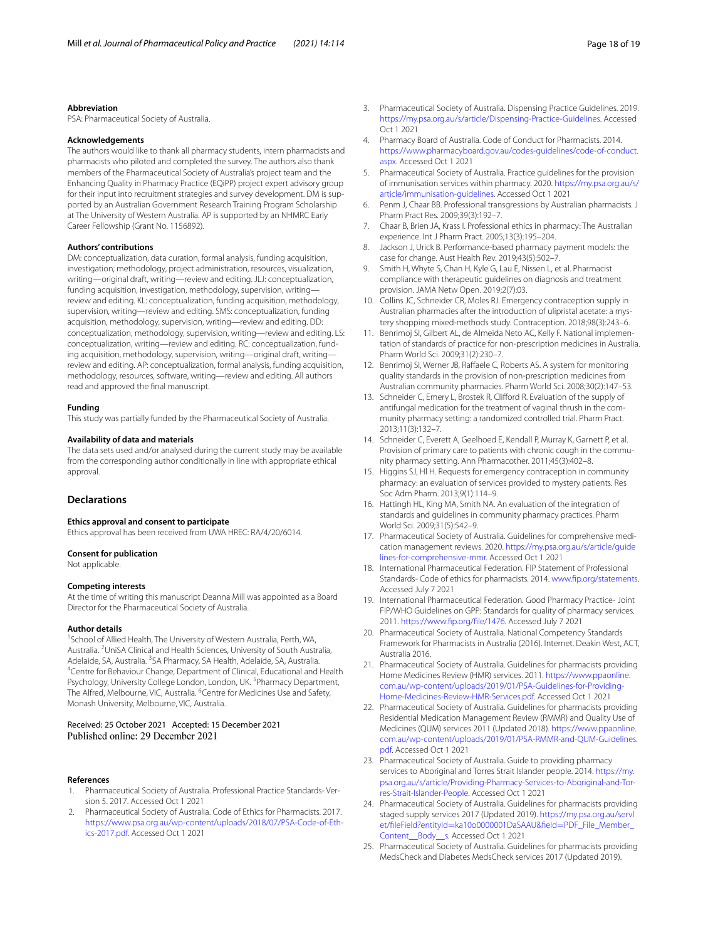#### **Abbreviation**

PSA: Pharmaceutical Society of Australia.

#### **Acknowledgements**

The authors would like to thank all pharmacy students, intern pharmacists and pharmacists who piloted and completed the survey. The authors also thank members of the Pharmaceutical Society of Australia's project team and the Enhancing Quality in Pharmacy Practice (EQiPP) project expert advisory group for their input into recruitment strategies and survey development. DM is supported by an Australian Government Research Training Program Scholarship at The University of Western Australia. AP is supported by an NHMRC Early Career Fellowship (Grant No. 1156892).

#### **Authors' contributions**

DM: conceptualization, data curation, formal analysis, funding acquisition, investigation; methodology, project administration, resources, visualization, writing—original draft, writing—review and editing. JLJ: conceptualization, funding acquisition, investigation, methodology, supervision, writing review and editing. KL: conceptualization, funding acquisition, methodology, supervision, writing—review and editing. SMS: conceptualization, funding acquisition, methodology, supervision, writing—review and editing. DD: conceptualization, methodology, supervision, writing—review and editing. LS: conceptualization, writing—review and editing. RC: conceptualization, funding acquisition, methodology, supervision, writing—original draft, writing review and editing. AP: conceptualization, formal analysis, funding acquisition, methodology, resources, software, writing—review and editing. All authors read and approved the fnal manuscript.

## **Funding**

This study was partially funded by the Pharmaceutical Society of Australia.

#### **Availability of data and materials**

The data sets used and/or analysed during the current study may be available from the corresponding author conditionally in line with appropriate ethical approval.

## **Declarations**

#### **Ethics approval and consent to participate**

Ethics approval has been received from UWA HREC: RA/4/20/6014.

#### **Consent for publication**

Not applicable.

#### **Competing interests**

At the time of writing this manuscript Deanna Mill was appointed as a Board Director for the Pharmaceutical Society of Australia.

#### **Author details**

<sup>1</sup> School of Allied Health, The University of Western Australia, Perth, WA, Australia. <sup>2</sup> UniSA Clinical and Health Sciences, University of South Australia, Adelaide, SA, Australia. <sup>3</sup>SA Pharmacy, SA Health, Adelaide, SA, Australia.<br><sup>4</sup>Contre for Behaviour Change, Department of Clinical Educational and L <sup>4</sup>Centre for Behaviour Change, Department of Clinical, Educational and Health Psychology, University College London, London, UK.<sup>5</sup> Pharmacy Department, The Alfred, Melbourne, VIC, Australia. <sup>6</sup>Centre for Medicines Use and Safety, Monash University, Melbourne, VIC, Australia.

## Received: 25 October 2021 Accepted: 15 December 2021 Published online: 29 December 2021

#### **References**

- <span id="page-17-0"></span>1. Pharmaceutical Society of Australia. Professional Practice Standards- Version 5. 2017. Accessed Oct 1 2021
- <span id="page-17-3"></span>2. Pharmaceutical Society of Australia. Code of Ethics for Pharmacists. 2017. [https://www.psa.org.au/wp-content/uploads/2018/07/PSA-Code-of-Eth](https://www.psa.org.au/wp-content/uploads/2018/07/PSA-Code-of-Ethics-2017.pdf)[ics-2017.pdf.](https://www.psa.org.au/wp-content/uploads/2018/07/PSA-Code-of-Ethics-2017.pdf) Accessed Oct 1 2021
- <span id="page-17-2"></span>3. Pharmaceutical Society of Australia. Dispensing Practice Guidelines. 2019. [https://my.psa.org.au/s/article/Dispensing-Practice-Guidelines.](https://my.psa.org.au/s/article/Dispensing-Practice-Guidelines) Accessed Oct 1 2021
- <span id="page-17-1"></span>4. Pharmacy Board of Australia. Code of Conduct for Pharmacists. 2014. [https://www.pharmacyboard.gov.au/codes-guidelines/code-of-conduct.](https://www.pharmacyboard.gov.au/codes-guidelines/code-of-conduct.aspx) [aspx](https://www.pharmacyboard.gov.au/codes-guidelines/code-of-conduct.aspx). Accessed Oct 1 2021
- <span id="page-17-4"></span>5. Pharmaceutical Society of Australia. Practice guidelines for the provision of immunisation services within pharmacy. 2020. [https://my.psa.org.au/s/](https://my.psa.org.au/s/article/immunisation-guidelines) [article/immunisation-guidelines](https://my.psa.org.au/s/article/immunisation-guidelines). Accessed Oct 1 2021
- <span id="page-17-5"></span>6. Penm J, Chaar BB. Professional transgressions by Australian pharmacists. J Pharm Pract Res. 2009;39(3):192–7.
- <span id="page-17-11"></span>7. Chaar B, Brien JA, Krass I. Professional ethics in pharmacy: The Australian experience. Int J Pharm Pract. 2005;13(3):195–204.
- 8. Jackson J, Urick B. Performance-based pharmacy payment models: the case for change. Aust Health Rev. 2019;43(5):502–7.
- 9. Smith H, Whyte S, Chan H, Kyle G, Lau E, Nissen L, et al. Pharmacist compliance with therapeutic guidelines on diagnosis and treatment provision. JAMA Netw Open. 2019;2(7):03.
- 10. Collins JC, Schneider CR, Moles RJ. Emergency contraception supply in Australian pharmacies after the introduction of ulipristal acetate: a mystery shopping mixed-methods study. Contraception. 2018;98(3):243–6.
- 11. Benrimoj SI, Gilbert AL, de Almeida Neto AC, Kelly F. National implementation of standards of practice for non-prescription medicines in Australia. Pharm World Sci. 2009;31(2):230–7.
- 12. Benrimoj SI, Werner JB, Raffaele C, Roberts AS. A system for monitoring quality standards in the provision of non-prescription medicines from Australian community pharmacies. Pharm World Sci. 2008;30(2):147–53.
- 13. Schneider C, Emery L, Brostek R, Clifford R. Evaluation of the supply of antifungal medication for the treatment of vaginal thrush in the community pharmacy setting: a randomized controlled trial. Pharm Pract. 2013;11(3):132–7.
- 14. Schneider C, Everett A, Geelhoed E, Kendall P, Murray K, Garnett P, et al. Provision of primary care to patients with chronic cough in the community pharmacy setting. Ann Pharmacother. 2011;45(3):402–8.
- 15. Higgins SJ, Hl H. Requests for emergency contraception in community pharmacy: an evaluation of services provided to mystery patients. Res Soc Adm Pharm. 2013;9(1):114–9.
- <span id="page-17-6"></span>16. Hattingh HL, King MA, Smith NA. An evaluation of the integration of standards and guidelines in community pharmacy practices. Pharm World Sci. 2009;31(5):542–9.
- <span id="page-17-7"></span>17. Pharmaceutical Society of Australia. Guidelines for comprehensive medication management reviews. 2020. [https://my.psa.org.au/s/article/guide](https://my.psa.org.au/s/article/guidelines-for-comprehensive-mmr) [lines-for-comprehensive-mmr.](https://my.psa.org.au/s/article/guidelines-for-comprehensive-mmr) Accessed Oct 1 2021
- <span id="page-17-8"></span>18. International Pharmaceutical Federation. FIP Statement of Professional Standards- Code of ethics for pharmacists. 2014. [www.fp.org/statements.](http://www.fip.org/statements) Accessed July 7 2021
- <span id="page-17-9"></span>19. International Pharmaceutical Federation. Good Pharmacy Practice- Joint FIP/WHO Guidelines on GPP: Standards for quality of pharmacy services. 2011. [https://www.fp.org/fle/1476.](https://www.fip.org/file/1476) Accessed July 7 2021
- <span id="page-17-10"></span>20. Pharmaceutical Society of Australia. National Competency Standards Framework for Pharmacists in Australia (2016). Internet. Deakin West, ACT, Australia 2016.
- <span id="page-17-12"></span>21. Pharmaceutical Society of Australia. Guidelines for pharmacists providing Home Medicines Review (HMR) services. 2011. [https://www.ppaonline.](https://www.ppaonline.com.au/wp-content/uploads/2019/01/PSA-Guidelines-for-Providing-Home-Medicines-Review-HMR-Services.pdf) [com.au/wp-content/uploads/2019/01/PSA-Guidelines-for-Providing-](https://www.ppaonline.com.au/wp-content/uploads/2019/01/PSA-Guidelines-for-Providing-Home-Medicines-Review-HMR-Services.pdf)[Home-Medicines-Review-HMR-Services.pdf](https://www.ppaonline.com.au/wp-content/uploads/2019/01/PSA-Guidelines-for-Providing-Home-Medicines-Review-HMR-Services.pdf). Accessed Oct 1 2021
- <span id="page-17-16"></span>22. Pharmaceutical Society of Australia. Guidelines for pharmacists providing Residential Medication Management Review (RMMR) and Quality Use of Medicines (QUM) services 2011 (Updated 2018). [https://www.ppaonline.](https://www.ppaonline.com.au/wp-content/uploads/2019/01/PSA-RMMR-and-QUM-Guidelines.pdf) [com.au/wp-content/uploads/2019/01/PSA-RMMR-and-QUM-Guidelines.](https://www.ppaonline.com.au/wp-content/uploads/2019/01/PSA-RMMR-and-QUM-Guidelines.pdf) [pdf.](https://www.ppaonline.com.au/wp-content/uploads/2019/01/PSA-RMMR-and-QUM-Guidelines.pdf) Accessed Oct 1 2021
- <span id="page-17-13"></span>23. Pharmaceutical Society of Australia. Guide to providing pharmacy services to Aboriginal and Torres Strait Islander people. 2014. [https://my.](https://my.psa.org.au/s/article/Providing-Pharmacy-Services-to-Aboriginal-and-Torres-Strait-Islander-People) [psa.org.au/s/article/Providing-Pharmacy-Services-to-Aboriginal-and-Tor](https://my.psa.org.au/s/article/Providing-Pharmacy-Services-to-Aboriginal-and-Torres-Strait-Islander-People)[res-Strait-Islander-People](https://my.psa.org.au/s/article/Providing-Pharmacy-Services-to-Aboriginal-and-Torres-Strait-Islander-People). Accessed Oct 1 2021
- <span id="page-17-14"></span>24. Pharmaceutical Society of Australia. Guidelines for pharmacists providing staged supply services 2017 (Updated 2019). [https://my.psa.org.au/servl](https://my.psa.org.au/servlet/fileField?entityId=ka10o0000001DaSAAU&field=PDF_File_Member_Content__Body__s) et/fleField?entityId=[ka10o0000001DaSAAU&feld](https://my.psa.org.au/servlet/fileField?entityId=ka10o0000001DaSAAU&field=PDF_File_Member_Content__Body__s)=PDF\_File\_Member\_ [Content\\_\\_Body\\_\\_s](https://my.psa.org.au/servlet/fileField?entityId=ka10o0000001DaSAAU&field=PDF_File_Member_Content__Body__s). Accessed Oct 1 2021
- <span id="page-17-15"></span>25. Pharmaceutical Society of Australia. Guidelines for pharmacists providing MedsCheck and Diabetes MedsCheck services 2017 (Updated 2019).